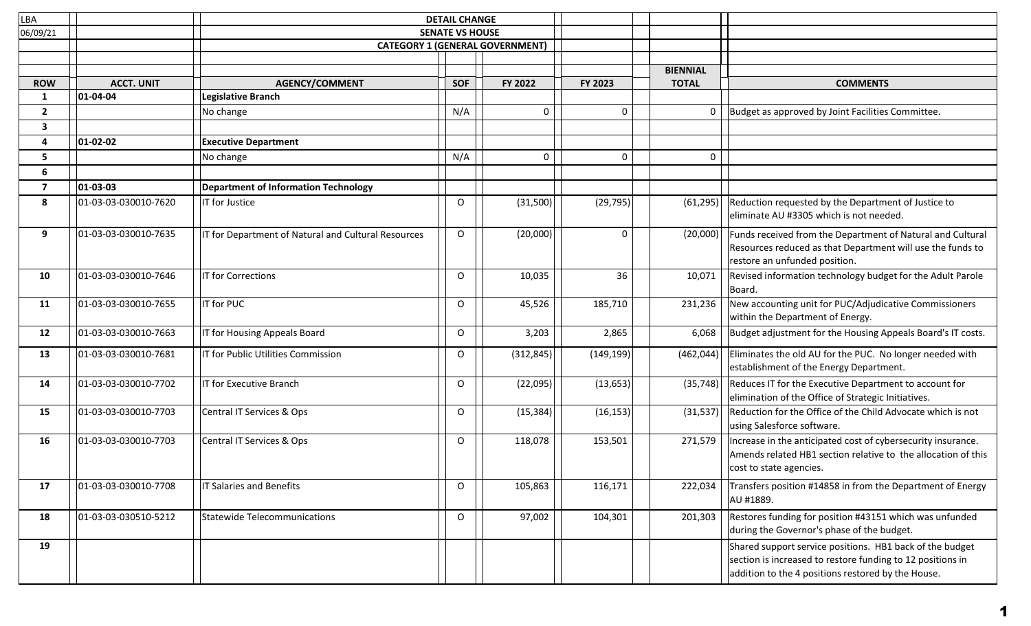| LBA            |                      |                                                     | <b>DETAIL CHANGE</b>   |                                        |             |                 |                                                                                                                                                                              |
|----------------|----------------------|-----------------------------------------------------|------------------------|----------------------------------------|-------------|-----------------|------------------------------------------------------------------------------------------------------------------------------------------------------------------------------|
| 06/09/21       |                      |                                                     | <b>SENATE VS HOUSE</b> |                                        |             |                 |                                                                                                                                                                              |
|                |                      |                                                     |                        | <b>CATEGORY 1 (GENERAL GOVERNMENT)</b> |             |                 |                                                                                                                                                                              |
|                |                      |                                                     |                        |                                        |             |                 |                                                                                                                                                                              |
|                |                      |                                                     |                        |                                        |             | <b>BIENNIAL</b> |                                                                                                                                                                              |
| <b>ROW</b>     | <b>ACCT. UNIT</b>    | <b>AGENCY/COMMENT</b>                               | <b>SOF</b>             | FY 2022                                | FY 2023     | <b>TOTAL</b>    | <b>COMMENTS</b>                                                                                                                                                              |
| $\mathbf{1}$   | 01-04-04             | <b>Legislative Branch</b>                           |                        |                                        |             |                 |                                                                                                                                                                              |
| 2              |                      | No change                                           | N/A                    | 0                                      | 0           | 0               | Budget as approved by Joint Facilities Committee.                                                                                                                            |
| 3              |                      |                                                     |                        |                                        |             |                 |                                                                                                                                                                              |
| 4              | 01-02-02             | <b>Executive Department</b>                         |                        |                                        |             |                 |                                                                                                                                                                              |
| 5              |                      | No change                                           | N/A                    | $\mathsf{O}$                           | $\mathsf 0$ | 0               |                                                                                                                                                                              |
| 6              |                      |                                                     |                        |                                        |             |                 |                                                                                                                                                                              |
| $\overline{7}$ | 01-03-03             | <b>Department of Information Technology</b>         |                        |                                        |             |                 |                                                                                                                                                                              |
| 8              | 01-03-03-030010-7620 | IT for Justice                                      | O                      | (31,500)                               | (29, 795)   | (61, 295)       | Reduction requested by the Department of Justice to<br>eliminate AU #3305 which is not needed.                                                                               |
| 9              | 01-03-03-030010-7635 | IT for Department of Natural and Cultural Resources | $\circ$                | (20,000)                               | $\mathbf 0$ | (20,000)        | Funds received from the Department of Natural and Cultural<br>Resources reduced as that Department will use the funds to<br>restore an unfunded position.                    |
| 10             | 01-03-03-030010-7646 | IT for Corrections                                  | O                      | 10,035                                 | 36          | 10,071          | Revised information technology budget for the Adult Parole<br>Board.                                                                                                         |
| 11             | 01-03-03-030010-7655 | IT for PUC                                          | O                      | 45,526                                 | 185,710     | 231,236         | New accounting unit for PUC/Adjudicative Commissioners<br>within the Department of Energy.                                                                                   |
| 12             | 01-03-03-030010-7663 | IT for Housing Appeals Board                        | O                      | 3,203                                  | 2,865       | 6,068           | Budget adjustment for the Housing Appeals Board's IT costs.                                                                                                                  |
| 13             | 01-03-03-030010-7681 | IT for Public Utilities Commission                  | O                      | (312, 845)                             | (149, 199)  | (462, 044)      | Eliminates the old AU for the PUC. No longer needed with<br>establishment of the Energy Department.                                                                          |
| 14             | 01-03-03-030010-7702 | IT for Executive Branch                             | O                      | (22,095)                               | (13, 653)   | (35, 748)       | Reduces IT for the Executive Department to account for<br>elimination of the Office of Strategic Initiatives.                                                                |
| 15             | 01-03-03-030010-7703 | Central IT Services & Ops                           | $\Omega$               | (15, 384)                              | (16, 153)   | (31, 537)       | Reduction for the Office of the Child Advocate which is not<br>using Salesforce software.                                                                                    |
| 16             | 01-03-03-030010-7703 | Central IT Services & Ops                           | O                      | 118,078                                | 153,501     | 271,579         | Increase in the anticipated cost of cybersecurity insurance.<br>Amends related HB1 section relative to the allocation of this<br>cost to state agencies.                     |
| 17             | 01-03-03-030010-7708 | IT Salaries and Benefits                            | $\circ$                | 105,863                                | 116,171     | 222,034         | Transfers position #14858 in from the Department of Energy<br>AU #1889.                                                                                                      |
| 18             | 01-03-03-030510-5212 | <b>Statewide Telecommunications</b>                 | $\circ$                | 97,002                                 | 104,301     | 201,303         | Restores funding for position #43151 which was unfunded<br>during the Governor's phase of the budget.                                                                        |
| 19             |                      |                                                     |                        |                                        |             |                 | Shared support service positions. HB1 back of the budget<br>section is increased to restore funding to 12 positions in<br>addition to the 4 positions restored by the House. |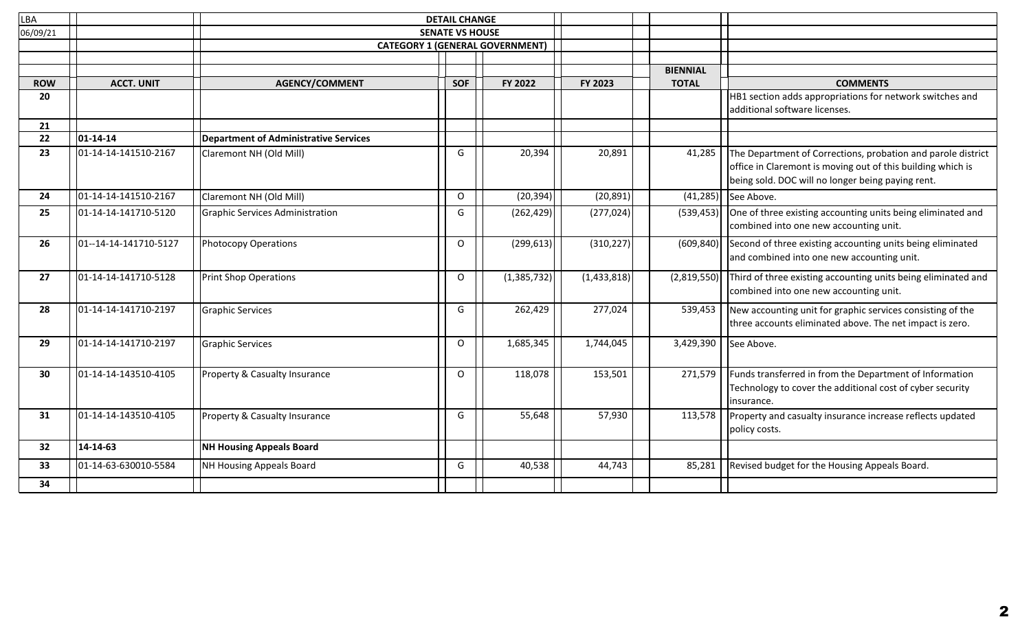| <b>LBA</b> |                       |                                              | <b>DETAIL CHANGE</b>   |                                        |             |                 |                                                                                                                                                                                  |
|------------|-----------------------|----------------------------------------------|------------------------|----------------------------------------|-------------|-----------------|----------------------------------------------------------------------------------------------------------------------------------------------------------------------------------|
| 06/09/21   |                       |                                              | <b>SENATE VS HOUSE</b> |                                        |             |                 |                                                                                                                                                                                  |
|            |                       |                                              |                        | <b>CATEGORY 1 (GENERAL GOVERNMENT)</b> |             |                 |                                                                                                                                                                                  |
|            |                       |                                              |                        |                                        |             |                 |                                                                                                                                                                                  |
|            |                       |                                              |                        |                                        |             | <b>BIENNIAL</b> |                                                                                                                                                                                  |
| <b>ROW</b> | <b>ACCT. UNIT</b>     | <b>AGENCY/COMMENT</b>                        | <b>SOF</b>             | FY 2022                                | FY 2023     | <b>TOTAL</b>    | <b>COMMENTS</b>                                                                                                                                                                  |
| 20         |                       |                                              |                        |                                        |             |                 | HB1 section adds appropriations for network switches and<br>additional software licenses.                                                                                        |
| 21         |                       |                                              |                        |                                        |             |                 |                                                                                                                                                                                  |
| 22         | $01 - 14 - 14$        | <b>Department of Administrative Services</b> |                        |                                        |             |                 |                                                                                                                                                                                  |
| 23         | 01-14-14-141510-2167  | Claremont NH (Old Mill)                      | G                      | 20,394                                 | 20,891      | 41,285          | The Department of Corrections, probation and parole district<br>office in Claremont is moving out of this building which is<br>being sold. DOC will no longer being paying rent. |
| 24         | 01-14-14-141510-2167  | Claremont NH (Old Mill)                      | $\Omega$               | (20, 394)                              | (20, 891)   | (41, 285)       | See Above.                                                                                                                                                                       |
| 25         | 01-14-14-141710-5120  | <b>Graphic Services Administration</b>       | G                      | (262, 429)                             | (277, 024)  | (539, 453)      | One of three existing accounting units being eliminated and<br>combined into one new accounting unit.                                                                            |
| 26         | 01--14-14-141710-5127 | <b>Photocopy Operations</b>                  | $\Omega$               | (299, 613)                             | (310, 227)  | (609, 840)      | Second of three existing accounting units being eliminated<br>and combined into one new accounting unit.                                                                         |
| 27         | 01-14-14-141710-5128  | Print Shop Operations                        | $\Omega$               | (1,385,732)                            | (1,433,818) | (2,819,550)     | Third of three existing accounting units being eliminated and<br>combined into one new accounting unit.                                                                          |
| 28         | 01-14-14-141710-2197  | <b>Graphic Services</b>                      | G                      | 262,429                                | 277,024     | 539,453         | New accounting unit for graphic services consisting of the<br>three accounts eliminated above. The net impact is zero.                                                           |
| 29         | 01-14-14-141710-2197  | <b>Graphic Services</b>                      | $\Omega$               | 1,685,345                              | 1,744,045   | 3,429,390       | See Above.                                                                                                                                                                       |
| 30         | 01-14-14-143510-4105  | Property & Casualty Insurance                | O                      | 118,078                                | 153,501     | 271,579         | Funds transferred in from the Department of Information<br>Technology to cover the additional cost of cyber security<br>insurance.                                               |
| 31         | 01-14-14-143510-4105  | Property & Casualty Insurance                | G                      | 55,648                                 | 57,930      | 113,578         | Property and casualty insurance increase reflects updated<br>policy costs.                                                                                                       |
| 32         | 14-14-63              | <b>NH Housing Appeals Board</b>              |                        |                                        |             |                 |                                                                                                                                                                                  |
| 33         | 01-14-63-630010-5584  | NH Housing Appeals Board                     | G                      | 40,538                                 | 44,743      | 85,281          | Revised budget for the Housing Appeals Board.                                                                                                                                    |
| 34         |                       |                                              |                        |                                        |             |                 |                                                                                                                                                                                  |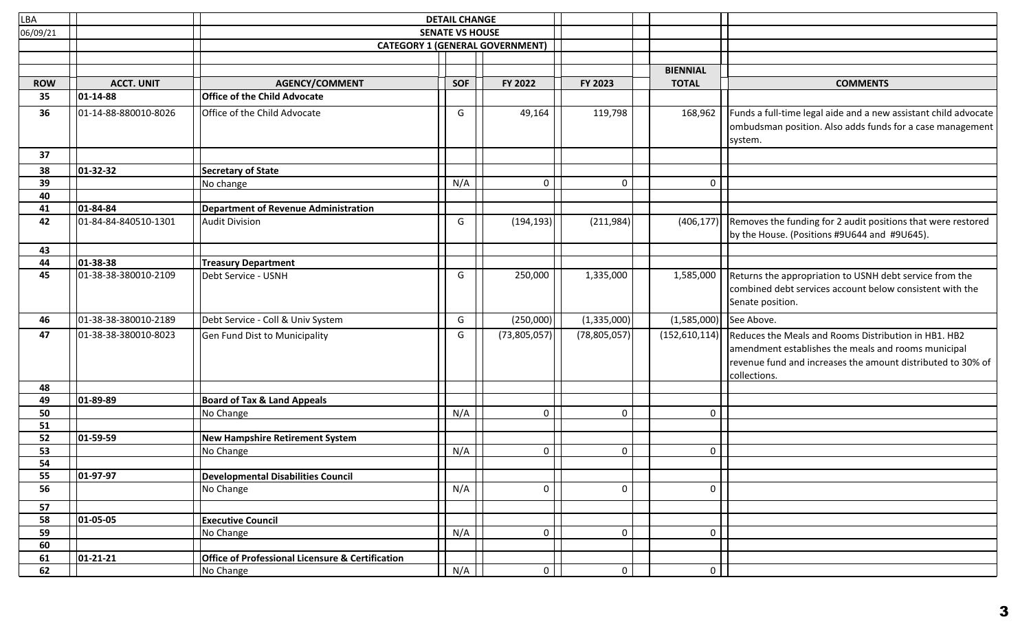| LBA        |                      | <b>DETAIL CHANGE</b>                                        |                        |                                        |                |                 |                                                                                                                                                                                            |
|------------|----------------------|-------------------------------------------------------------|------------------------|----------------------------------------|----------------|-----------------|--------------------------------------------------------------------------------------------------------------------------------------------------------------------------------------------|
| 06/09/21   |                      |                                                             | <b>SENATE VS HOUSE</b> |                                        |                |                 |                                                                                                                                                                                            |
|            |                      |                                                             |                        | <b>CATEGORY 1 (GENERAL GOVERNMENT)</b> |                |                 |                                                                                                                                                                                            |
|            |                      |                                                             |                        |                                        |                |                 |                                                                                                                                                                                            |
|            |                      |                                                             |                        |                                        |                | <b>BIENNIAL</b> |                                                                                                                                                                                            |
| <b>ROW</b> | <b>ACCT. UNIT</b>    | <b>AGENCY/COMMENT</b>                                       | <b>SOF</b>             | FY 2022                                | FY 2023        | <b>TOTAL</b>    | <b>COMMENTS</b>                                                                                                                                                                            |
| 35         | 01-14-88             | <b>Office of the Child Advocate</b>                         |                        |                                        |                |                 |                                                                                                                                                                                            |
| 36         | 01-14-88-880010-8026 | Office of the Child Advocate                                | G                      | 49,164                                 | 119,798        | 168,962         | Funds a full-time legal aide and a new assistant child advocate<br>ombudsman position. Also adds funds for a case management<br>system.                                                    |
| 37         |                      |                                                             |                        |                                        |                |                 |                                                                                                                                                                                            |
| 38         | 01-32-32             | Secretary of State                                          |                        |                                        |                |                 |                                                                                                                                                                                            |
| 39         |                      | No change                                                   | N/A                    | 0                                      | $\mathbf 0$    | $\mathbf 0$     |                                                                                                                                                                                            |
| 40         |                      |                                                             |                        |                                        |                |                 |                                                                                                                                                                                            |
| 41         | 01-84-84             | Department of Revenue Administration                        |                        |                                        |                |                 |                                                                                                                                                                                            |
| 42         | 01-84-84-840510-1301 | Audit Division                                              | G                      | (194, 193)                             | (211,984)      | (406, 177)      | Removes the funding for 2 audit positions that were restored<br>by the House. (Positions #9U644 and #9U645).                                                                               |
| 43         |                      |                                                             |                        |                                        |                |                 |                                                                                                                                                                                            |
| 44         | 01-38-38             | <b>Treasury Department</b>                                  |                        |                                        |                |                 |                                                                                                                                                                                            |
| 45         | 01-38-38-380010-2109 | Debt Service - USNH                                         | G                      | 250,000                                | 1,335,000      | 1,585,000       | Returns the appropriation to USNH debt service from the<br>combined debt services account below consistent with the<br>Senate position.                                                    |
| 46         | 01-38-38-380010-2189 | Debt Service - Coll & Univ System                           | G                      | (250,000)                              | (1,335,000)    | (1,585,000)     | See Above.                                                                                                                                                                                 |
| 47         | 01-38-38-380010-8023 | Gen Fund Dist to Municipality                               | G                      | (73,805,057)                           | (78, 805, 057) | (152, 610, 114) | Reduces the Meals and Rooms Distribution in HB1. HB2<br>amendment establishes the meals and rooms municipal<br>revenue fund and increases the amount distributed to 30% of<br>collections. |
| 48         |                      |                                                             |                        |                                        |                |                 |                                                                                                                                                                                            |
| 49         | 01-89-89             | <b>Board of Tax &amp; Land Appeals</b>                      |                        |                                        |                |                 |                                                                                                                                                                                            |
| 50         |                      | No Change                                                   | N/A                    | 0                                      | $\mathsf 0$    | 0               |                                                                                                                                                                                            |
| 51         |                      |                                                             |                        |                                        |                |                 |                                                                                                                                                                                            |
| 52         | 01-59-59             | New Hampshire Retirement System                             |                        |                                        |                |                 |                                                                                                                                                                                            |
| 53         |                      | No Change                                                   | N/A                    | 0                                      | $\mathbf 0$    | 0               |                                                                                                                                                                                            |
| 54         |                      |                                                             |                        |                                        |                |                 |                                                                                                                                                                                            |
| 55         | 01-97-97             | Developmental Disabilities Council                          |                        |                                        |                |                 |                                                                                                                                                                                            |
| 56         |                      | No Change                                                   | N/A                    | $\pmb{0}$                              | $\mathbf 0$    | 0               |                                                                                                                                                                                            |
| 57         |                      |                                                             |                        |                                        |                |                 |                                                                                                                                                                                            |
| 58         | 01-05-05             | <b>Executive Council</b>                                    |                        |                                        |                |                 |                                                                                                                                                                                            |
| 59         |                      | No Change                                                   | N/A                    | $\mathbf 0$                            | $\mathbf 0$    | $\overline{0}$  |                                                                                                                                                                                            |
| 60         |                      |                                                             |                        |                                        |                |                 |                                                                                                                                                                                            |
| 61         | 01-21-21             | <b>Office of Professional Licensure &amp; Certification</b> |                        |                                        |                |                 |                                                                                                                                                                                            |
| 62         |                      | No Change                                                   | N/A                    | $\circ$                                | 0 <sup>1</sup> | 0 <sup>1</sup>  |                                                                                                                                                                                            |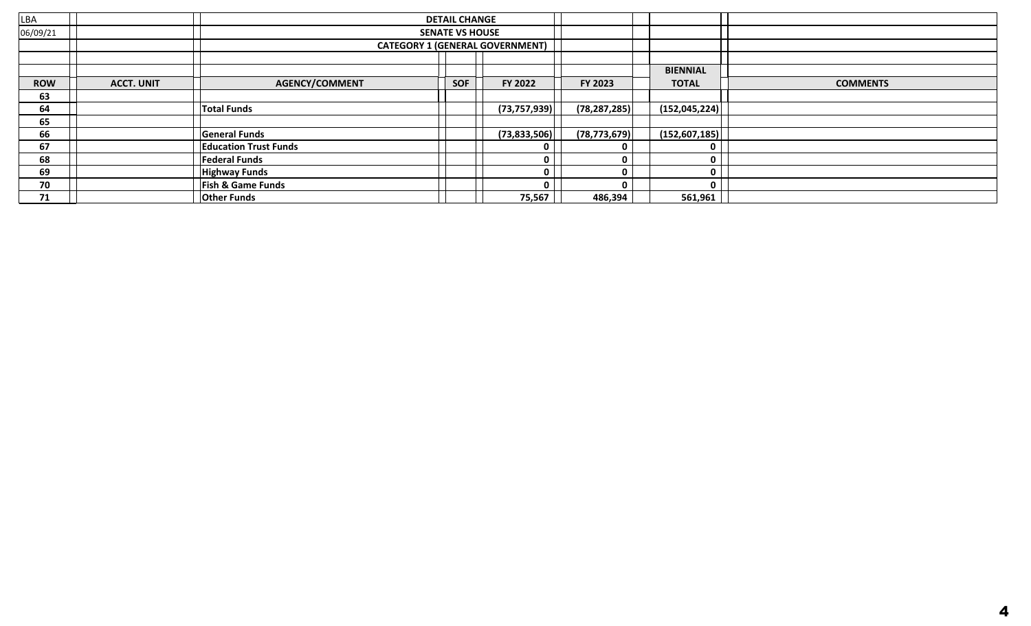| <b>LBA</b> |                      |                              | <b>DETAIL CHANGE</b>   |                                        |                |                 |                 |
|------------|----------------------|------------------------------|------------------------|----------------------------------------|----------------|-----------------|-----------------|
| 06/09/21   |                      |                              | <b>SENATE VS HOUSE</b> |                                        |                |                 |                 |
|            |                      |                              |                        | <b>CATEGORY 1 (GENERAL GOVERNMENT)</b> |                |                 |                 |
|            |                      |                              |                        |                                        |                |                 |                 |
|            |                      |                              |                        |                                        |                | <b>BIENNIAL</b> |                 |
| <b>ROW</b> | <b>ACCT. UNIT</b>    | <b>AGENCY/COMMENT</b>        | <b>SOF</b>             | FY 2022                                | <b>FY 2023</b> | <b>TOTAL</b>    | <b>COMMENTS</b> |
| 63         |                      |                              |                        |                                        |                |                 |                 |
| 64         | <b>Total Funds</b>   |                              |                        | (73, 757, 939)                         | (78, 287, 285) | (152, 045, 224) |                 |
| 65         |                      |                              |                        |                                        |                |                 |                 |
| 66         |                      | <b>General Funds</b>         | (73, 833, 506)         |                                        | (78, 773, 679) | (152, 607, 185) |                 |
| 67         |                      | <b>Education Trust Funds</b> | 0                      |                                        | 0              | 0               |                 |
| 68         | <b>Federal Funds</b> |                              |                        | 0                                      | 0              | 0               |                 |
| 69         | <b>Highway Funds</b> |                              |                        | 0                                      | 0              | $\mathbf 0$     |                 |
| 70         |                      | <b>Fish &amp; Game Funds</b> |                        | n                                      | 0              | 0               |                 |
| 71         |                      | <b>Other Funds</b>           |                        | 75,567                                 | 486,394        | 561,961         |                 |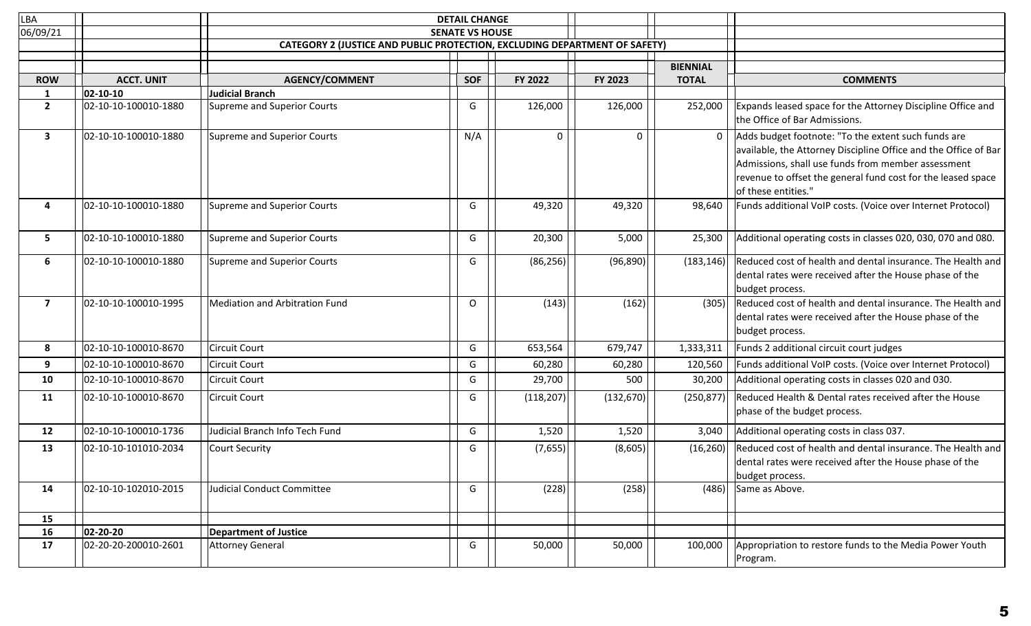| LBA                      |                      | <b>DETAIL CHANGE</b>                                                              |                        |            |            |                 |                                                                                                                                                                                                                                                                     |
|--------------------------|----------------------|-----------------------------------------------------------------------------------|------------------------|------------|------------|-----------------|---------------------------------------------------------------------------------------------------------------------------------------------------------------------------------------------------------------------------------------------------------------------|
| 06/09/21                 |                      |                                                                                   | <b>SENATE VS HOUSE</b> |            |            |                 |                                                                                                                                                                                                                                                                     |
|                          |                      | <b>CATEGORY 2 (JUSTICE AND PUBLIC PROTECTION, EXCLUDING DEPARTMENT OF SAFETY)</b> |                        |            |            |                 |                                                                                                                                                                                                                                                                     |
|                          |                      |                                                                                   |                        |            |            | <b>BIENNIAL</b> |                                                                                                                                                                                                                                                                     |
| <b>ROW</b>               | <b>ACCT. UNIT</b>    | <b>AGENCY/COMMENT</b>                                                             | <b>SOF</b>             | FY 2022    | FY 2023    | <b>TOTAL</b>    | <b>COMMENTS</b>                                                                                                                                                                                                                                                     |
| 1                        | 02-10-10             | <b>Judicial Branch</b>                                                            |                        |            |            |                 |                                                                                                                                                                                                                                                                     |
| $\overline{2}$           | 02-10-10-100010-1880 | <b>Supreme and Superior Courts</b>                                                | G                      | 126,000    | 126,000    | 252,000         | Expands leased space for the Attorney Discipline Office and<br>the Office of Bar Admissions.                                                                                                                                                                        |
| 3                        | 02-10-10-100010-1880 | Supreme and Superior Courts                                                       | N/A                    | 0          | 0          | $\mathbf 0$     | Adds budget footnote: "To the extent such funds are<br>available, the Attorney Discipline Office and the Office of Bar<br>Admissions, shall use funds from member assessment<br>revenue to offset the general fund cost for the leased space<br>of these entities." |
| 4                        | 02-10-10-100010-1880 | Supreme and Superior Courts                                                       | G                      | 49,320     | 49,320     | 98,640          | Funds additional VoIP costs. (Voice over Internet Protocol)                                                                                                                                                                                                         |
| 5                        | 02-10-10-100010-1880 | Supreme and Superior Courts                                                       | G                      | 20,300     | 5,000      | 25,300          | Additional operating costs in classes 020, 030, 070 and 080.                                                                                                                                                                                                        |
| 6                        | 02-10-10-100010-1880 | Supreme and Superior Courts                                                       | G                      | (86, 256)  | (96, 890)  | (183, 146)      | Reduced cost of health and dental insurance. The Health and<br>dental rates were received after the House phase of the<br>budget process.                                                                                                                           |
| $\overline{\phantom{a}}$ | 02-10-10-100010-1995 | <b>Mediation and Arbitration Fund</b>                                             | O                      | (143)      | (162)      | (305)           | Reduced cost of health and dental insurance. The Health and<br>dental rates were received after the House phase of the<br>budget process.                                                                                                                           |
| 8                        | 02-10-10-100010-8670 | Circuit Court                                                                     | G                      | 653,564    | 679,747    | 1,333,311       | Funds 2 additional circuit court judges                                                                                                                                                                                                                             |
| 9                        | 02-10-10-100010-8670 | <b>Circuit Court</b>                                                              | G                      | 60,280     | 60,280     | 120,560         | Funds additional VoIP costs. (Voice over Internet Protocol)                                                                                                                                                                                                         |
| 10                       | 02-10-10-100010-8670 | <b>Circuit Court</b>                                                              | G                      | 29,700     | 500        | 30,200          | Additional operating costs in classes 020 and 030.                                                                                                                                                                                                                  |
| 11                       | 02-10-10-100010-8670 | Circuit Court                                                                     | G                      | (118, 207) | (132, 670) | (250, 877)      | Reduced Health & Dental rates received after the House<br>phase of the budget process.                                                                                                                                                                              |
| 12                       | 02-10-10-100010-1736 | Judicial Branch Info Tech Fund                                                    | G                      | 1,520      | 1,520      | 3,040           | Additional operating costs in class 037.                                                                                                                                                                                                                            |
| 13                       | 02-10-10-101010-2034 | Court Security                                                                    | G                      | (7,655)    | (8,605)    | (16, 260)       | Reduced cost of health and dental insurance. The Health and<br>dental rates were received after the House phase of the<br>budget process.                                                                                                                           |
| 14                       | 02-10-10-102010-2015 | Judicial Conduct Committee                                                        | G                      | (228)      | (258)      | (486)           | Same as Above.                                                                                                                                                                                                                                                      |
| 15                       |                      |                                                                                   |                        |            |            |                 |                                                                                                                                                                                                                                                                     |
| 16                       | 02-20-20             | <b>Department of Justice</b>                                                      |                        |            |            |                 |                                                                                                                                                                                                                                                                     |
| 17                       | 02-20-20-200010-2601 | <b>Attorney General</b>                                                           | G                      | 50,000     | 50,000     | 100,000         | Appropriation to restore funds to the Media Power Youth<br>Program.                                                                                                                                                                                                 |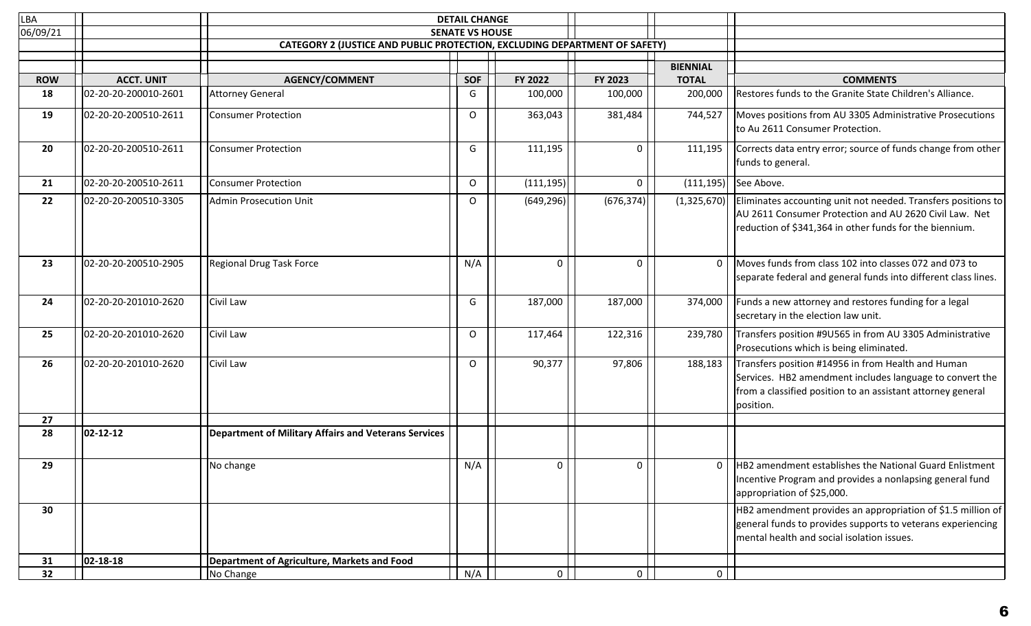| LBA        |                      | <b>DETAIL CHANGE</b>                                                              |                        |                |                |                 |                                                                                                                                                                                            |
|------------|----------------------|-----------------------------------------------------------------------------------|------------------------|----------------|----------------|-----------------|--------------------------------------------------------------------------------------------------------------------------------------------------------------------------------------------|
| 06/09/21   |                      |                                                                                   | <b>SENATE VS HOUSE</b> |                |                |                 |                                                                                                                                                                                            |
|            |                      | <b>CATEGORY 2 (JUSTICE AND PUBLIC PROTECTION, EXCLUDING DEPARTMENT OF SAFETY)</b> |                        |                |                |                 |                                                                                                                                                                                            |
|            |                      |                                                                                   |                        |                |                | <b>BIENNIAL</b> |                                                                                                                                                                                            |
| <b>ROW</b> | <b>ACCT. UNIT</b>    | <b>AGENCY/COMMENT</b>                                                             | <b>SOF</b>             | FY 2022        | FY 2023        | <b>TOTAL</b>    | <b>COMMENTS</b>                                                                                                                                                                            |
| 18         | 02-20-20-200010-2601 | Attorney General                                                                  | G                      | 100,000        | 100,000        | 200,000         | Restores funds to the Granite State Children's Alliance.                                                                                                                                   |
|            |                      |                                                                                   |                        |                |                |                 |                                                                                                                                                                                            |
| 19         | 02-20-20-200510-2611 | <b>Consumer Protection</b>                                                        | $\circ$                | 363,043        | 381,484        | 744,527         | Moves positions from AU 3305 Administrative Prosecutions<br>to Au 2611 Consumer Protection.                                                                                                |
| 20         | 02-20-20-200510-2611 | <b>Consumer Protection</b>                                                        | G                      | 111,195        | 0              | 111,195         | Corrects data entry error; source of funds change from other<br>funds to general.                                                                                                          |
| 21         | 02-20-20-200510-2611 | <b>Consumer Protection</b>                                                        | $\circ$                | (111, 195)     | 0              | (111, 195)      | See Above.                                                                                                                                                                                 |
| 22         | 02-20-20-200510-3305 | Admin Prosecution Unit                                                            | O                      | (649, 296)     | (676, 374)     | (1,325,670)     | Eliminates accounting unit not needed. Transfers positions to<br>AU 2611 Consumer Protection and AU 2620 Civil Law. Net<br>reduction of \$341,364 in other funds for the biennium.         |
| 23         | 02-20-20-200510-2905 | Regional Drug Task Force                                                          | N/A                    | 0              | 0              | $\Omega$        | Moves funds from class 102 into classes 072 and 073 to<br>separate federal and general funds into different class lines.                                                                   |
| 24         | 02-20-20-201010-2620 | Civil Law                                                                         | G                      | 187,000        | 187,000        | 374,000         | Funds a new attorney and restores funding for a legal<br>secretary in the election law unit.                                                                                               |
| 25         | 02-20-20-201010-2620 | Civil Law                                                                         | O                      | 117,464        | 122,316        | 239,780         | Transfers position #9U565 in from AU 3305 Administrative<br>Prosecutions which is being eliminated.                                                                                        |
| 26         | 02-20-20-201010-2620 | Civil Law                                                                         | $\circ$                | 90,377         | 97,806         | 188,183         | Transfers position #14956 in from Health and Human<br>Services. HB2 amendment includes language to convert the<br>from a classified position to an assistant attorney general<br>position. |
| 27<br>28   | $ 02 - 12 - 12 $     | Department of Military Affairs and Veterans Services                              |                        |                |                |                 |                                                                                                                                                                                            |
|            |                      |                                                                                   |                        |                |                |                 |                                                                                                                                                                                            |
| 29         |                      | No change                                                                         | N/A                    | 0              | 0              | 0               | HB2 amendment establishes the National Guard Enlistment<br>Incentive Program and provides a nonlapsing general fund<br>appropriation of \$25,000.                                          |
| 30         |                      |                                                                                   |                        |                |                |                 | HB2 amendment provides an appropriation of \$1.5 million of<br>general funds to provides supports to veterans experiencing<br>mental health and social isolation issues.                   |
| 31         | $ 02 - 18 - 18 $     | Department of Agriculture, Markets and Food                                       |                        |                |                |                 |                                                                                                                                                                                            |
| 32         |                      | No Change                                                                         | N/A                    | 0 <sup>1</sup> | $\overline{0}$ | $\mathbf 0$     |                                                                                                                                                                                            |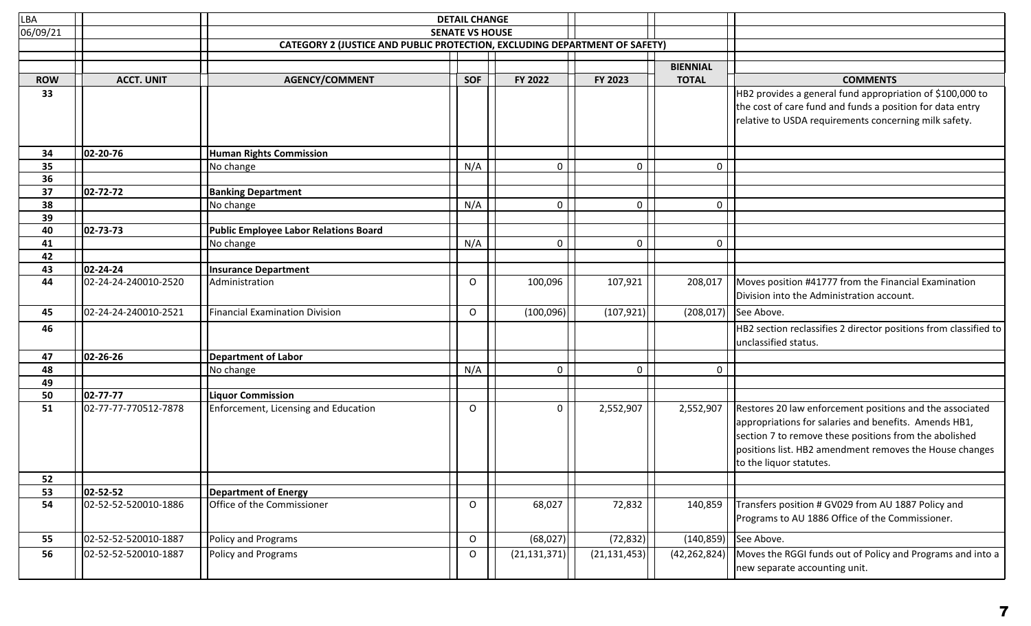| LBA        |                      | <b>DETAIL CHANGE</b>                                                              |                        |                |                     |                 |                                                                                          |
|------------|----------------------|-----------------------------------------------------------------------------------|------------------------|----------------|---------------------|-----------------|------------------------------------------------------------------------------------------|
| 06/09/21   |                      |                                                                                   | <b>SENATE VS HOUSE</b> |                |                     |                 |                                                                                          |
|            |                      | <b>CATEGORY 2 (JUSTICE AND PUBLIC PROTECTION, EXCLUDING DEPARTMENT OF SAFETY)</b> |                        |                |                     |                 |                                                                                          |
|            |                      |                                                                                   |                        |                |                     | <b>BIENNIAL</b> |                                                                                          |
| <b>ROW</b> | <b>ACCT. UNIT</b>    | AGENCY/COMMENT                                                                    | <b>SOF</b>             | FY 2022        | FY 2023             | <b>TOTAL</b>    | <b>COMMENTS</b>                                                                          |
| 33         |                      |                                                                                   |                        |                |                     |                 | HB2 provides a general fund appropriation of \$100,000 to                                |
|            |                      |                                                                                   |                        |                |                     |                 | the cost of care fund and funds a position for data entry                                |
|            |                      |                                                                                   |                        |                |                     |                 | relative to USDA requirements concerning milk safety.                                    |
|            |                      |                                                                                   |                        |                |                     |                 |                                                                                          |
|            |                      |                                                                                   |                        |                |                     |                 |                                                                                          |
| 34         | 02-20-76             | <b>Human Rights Commission</b>                                                    |                        |                |                     |                 |                                                                                          |
| 35<br>36   |                      | No change                                                                         | N/A                    | 0              | $\mathsf{O}\xspace$ | 0               |                                                                                          |
| 37         | $ 02 - 72 - 72 $     | <b>Banking Department</b>                                                         |                        |                |                     |                 |                                                                                          |
| 38         |                      | No change                                                                         | N/A                    | 0              | $\mathbf 0$         | 0               |                                                                                          |
| 39         |                      |                                                                                   |                        |                |                     |                 |                                                                                          |
| 40         | $ 02 - 73 - 73 $     | Public Employee Labor Relations Board                                             |                        |                |                     |                 |                                                                                          |
| 41         |                      | No change                                                                         | N/A                    | 0              | 0                   | 0               |                                                                                          |
| 42         |                      |                                                                                   |                        |                |                     |                 |                                                                                          |
| 43         | 02-24-24             | <b>Insurance Department</b>                                                       |                        |                |                     |                 |                                                                                          |
| 44         | 02-24-24-240010-2520 | Administration                                                                    | $\circ$                | 100,096        | 107,921             | 208,017         | Moves position #41777 from the Financial Examination                                     |
|            |                      |                                                                                   |                        |                |                     |                 | Division into the Administration account.                                                |
| 45         | 02-24-24-240010-2521 | Financial Examination Division                                                    | $\mathsf{O}$           | (100, 096)     | (107, 921)          |                 | $(208, 017)$ See Above.                                                                  |
| 46         |                      |                                                                                   |                        |                |                     |                 | HB2 section reclassifies 2 director positions from classified to<br>unclassified status. |
| 47         | $ 02 - 26 - 26 $     | <b>Department of Labor</b>                                                        |                        |                |                     |                 |                                                                                          |
| 48         |                      | No change                                                                         | N/A                    | 0              | 0                   | 0               |                                                                                          |
| 49         |                      |                                                                                   |                        |                |                     |                 |                                                                                          |
| 50         | $ 02 - 77 - 77 $     | <b>Liquor Commission</b>                                                          |                        |                |                     |                 |                                                                                          |
| 51         | 02-77-77-770512-7878 | Enforcement, Licensing and Education                                              | $\circ$                | 0              | 2,552,907           | 2,552,907       | Restores 20 law enforcement positions and the associated                                 |
|            |                      |                                                                                   |                        |                |                     |                 | appropriations for salaries and benefits. Amends HB1,                                    |
|            |                      |                                                                                   |                        |                |                     |                 | section 7 to remove these positions from the abolished                                   |
|            |                      |                                                                                   |                        |                |                     |                 | positions list. HB2 amendment removes the House changes                                  |
|            |                      |                                                                                   |                        |                |                     |                 | to the liquor statutes.                                                                  |
| 52         |                      |                                                                                   |                        |                |                     |                 |                                                                                          |
| 53         | $ 02 - 52 - 52 $     | <b>Department of Energy</b>                                                       |                        |                |                     |                 |                                                                                          |
| 54         | 02-52-52-520010-1886 | Office of the Commissioner                                                        | $\mathsf{O}$           | 68,027         | 72,832              | 140,859         | Transfers position # GV029 from AU 1887 Policy and                                       |
|            |                      |                                                                                   |                        |                |                     |                 | Programs to AU 1886 Office of the Commissioner.                                          |
| 55         | 02-52-52-520010-1887 | Policy and Programs                                                               | O                      | (68,027)       | (72, 832)           |                 | $(140, 859)$ See Above.                                                                  |
| 56         | 02-52-52-520010-1887 | Policy and Programs                                                               | O                      | (21, 131, 371) | (21, 131, 453)      | (42, 262, 824)  | Moves the RGGI funds out of Policy and Programs and into a                               |
|            |                      |                                                                                   |                        |                |                     |                 | new separate accounting unit.                                                            |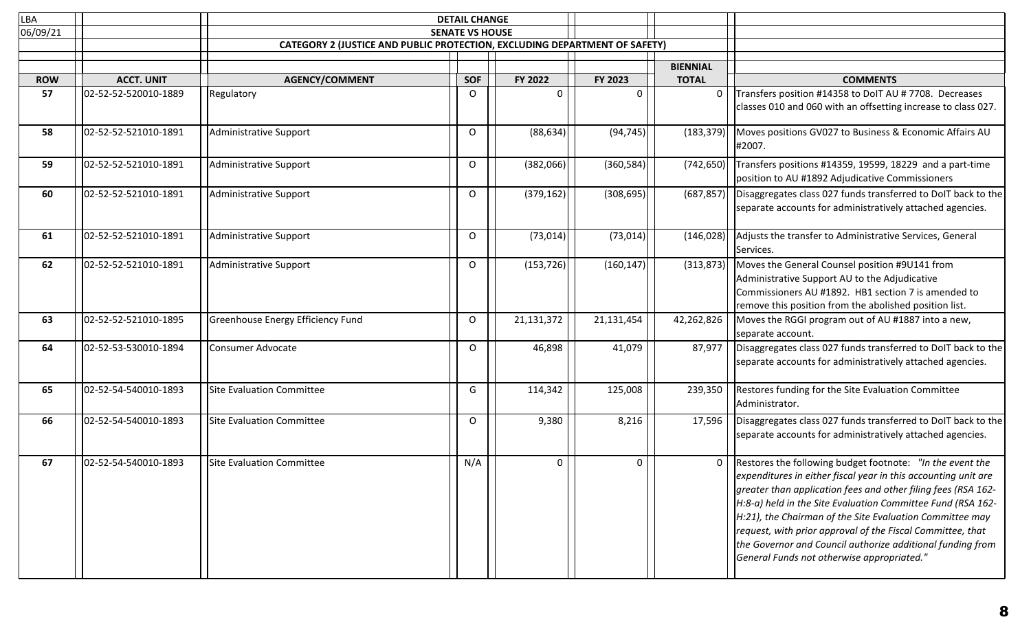| LBA        |                      |                                                                                   | <b>DETAIL CHANGE</b>   |            |            |                 |                                                                                                                                                                                                                                                                                                                                                                                                                                                                                                        |
|------------|----------------------|-----------------------------------------------------------------------------------|------------------------|------------|------------|-----------------|--------------------------------------------------------------------------------------------------------------------------------------------------------------------------------------------------------------------------------------------------------------------------------------------------------------------------------------------------------------------------------------------------------------------------------------------------------------------------------------------------------|
| 06/09/21   |                      |                                                                                   | <b>SENATE VS HOUSE</b> |            |            |                 |                                                                                                                                                                                                                                                                                                                                                                                                                                                                                                        |
|            |                      | <b>CATEGORY 2 (JUSTICE AND PUBLIC PROTECTION, EXCLUDING DEPARTMENT OF SAFETY)</b> |                        |            |            |                 |                                                                                                                                                                                                                                                                                                                                                                                                                                                                                                        |
|            |                      |                                                                                   |                        |            |            | <b>BIENNIAL</b> |                                                                                                                                                                                                                                                                                                                                                                                                                                                                                                        |
| <b>ROW</b> | <b>ACCT. UNIT</b>    | <b>AGENCY/COMMENT</b>                                                             | <b>SOF</b>             | FY 2022    | FY 2023    | <b>TOTAL</b>    | <b>COMMENTS</b>                                                                                                                                                                                                                                                                                                                                                                                                                                                                                        |
| 57         | 02-52-52-520010-1889 | Regulatory                                                                        | 0                      | $\Omega$   | 0          | 0               | Transfers position #14358 to DoIT AU # 7708. Decreases                                                                                                                                                                                                                                                                                                                                                                                                                                                 |
|            |                      |                                                                                   |                        |            |            |                 | classes 010 and 060 with an offsetting increase to class 027.                                                                                                                                                                                                                                                                                                                                                                                                                                          |
| 58         | 02-52-52-521010-1891 | Administrative Support                                                            | O                      | (88, 634)  | (94, 745)  | (183, 379)      | Moves positions GV027 to Business & Economic Affairs AU<br>#2007.                                                                                                                                                                                                                                                                                                                                                                                                                                      |
| 59         | 02-52-52-521010-1891 | Administrative Support                                                            | 0                      | (382,066)  | (360, 584) | (742, 650)      | Transfers positions #14359, 19599, 18229 and a part-time<br>position to AU #1892 Adjudicative Commissioners                                                                                                                                                                                                                                                                                                                                                                                            |
| 60         | 02-52-52-521010-1891 | Administrative Support                                                            | 0                      | (379, 162) | (308, 695) | (687, 857)      | Disaggregates class 027 funds transferred to DoIT back to the<br>separate accounts for administratively attached agencies.                                                                                                                                                                                                                                                                                                                                                                             |
| 61         | 02-52-52-521010-1891 | Administrative Support                                                            | 0                      | (73, 014)  | (73, 014)  | (146, 028)      | Adjusts the transfer to Administrative Services, General<br>Services.                                                                                                                                                                                                                                                                                                                                                                                                                                  |
| 62         | 02-52-52-521010-1891 | Administrative Support                                                            | O                      | (153, 726) | (160, 147) | (313, 873)      | Moves the General Counsel position #9U141 from<br>Administrative Support AU to the Adjudicative<br>Commissioners AU #1892. HB1 section 7 is amended to<br>remove this position from the abolished position list.                                                                                                                                                                                                                                                                                       |
| 63         | 02-52-52-521010-1895 | Greenhouse Energy Efficiency Fund                                                 | O                      | 21,131,372 | 21,131,454 | 42,262,826      | Moves the RGGI program out of AU #1887 into a new,<br>separate account.                                                                                                                                                                                                                                                                                                                                                                                                                                |
| 64         | 02-52-53-530010-1894 | Consumer Advocate                                                                 | O                      | 46,898     | 41,079     | 87,977          | Disaggregates class 027 funds transferred to DoIT back to the<br>separate accounts for administratively attached agencies.                                                                                                                                                                                                                                                                                                                                                                             |
| 65         | 02-52-54-540010-1893 | Site Evaluation Committee                                                         | G                      | 114,342    | 125,008    | 239,350         | Restores funding for the Site Evaluation Committee<br>Administrator.                                                                                                                                                                                                                                                                                                                                                                                                                                   |
| 66         | 02-52-54-540010-1893 | Site Evaluation Committee                                                         | O                      | 9,380      | 8,216      | 17,596          | Disaggregates class 027 funds transferred to DoIT back to the<br>separate accounts for administratively attached agencies.                                                                                                                                                                                                                                                                                                                                                                             |
| 67         | 02-52-54-540010-1893 | Site Evaluation Committee                                                         | N/A                    | 0          | 0          | 0               | Restores the following budget footnote: "In the event the<br>expenditures in either fiscal year in this accounting unit are<br>greater than application fees and other filing fees (RSA 162-<br>$H:8-a$ ) held in the Site Evaluation Committee Fund (RSA 162-<br>$H:21$ , the Chairman of the Site Evaluation Committee may<br>request, with prior approval of the Fiscal Committee, that<br>the Governor and Council authorize additional funding from<br>General Funds not otherwise appropriated." |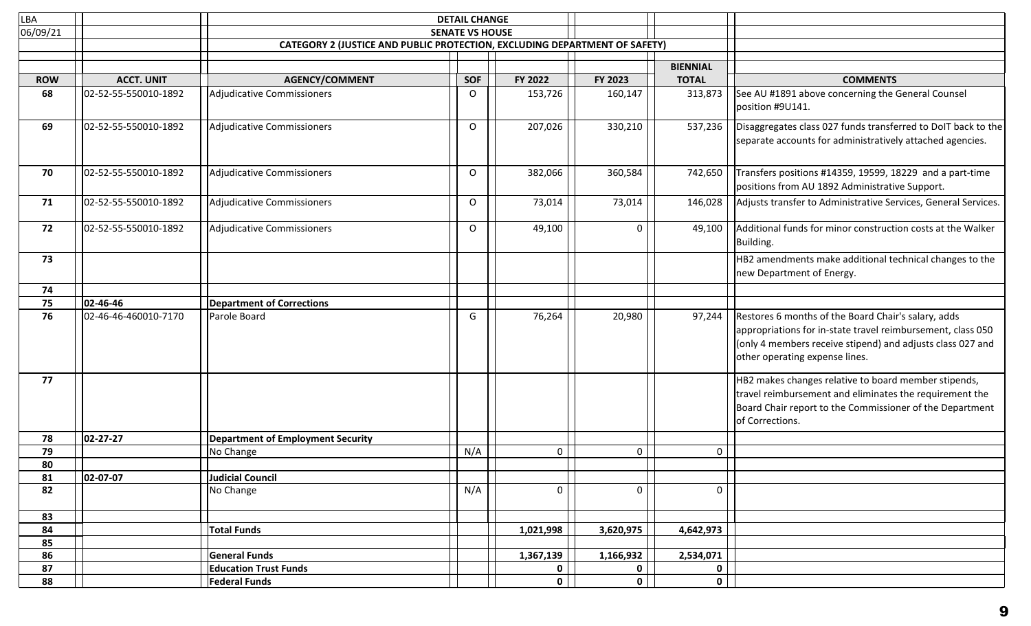| LBA        |                      |                                                                                   | <b>DETAIL CHANGE</b>   |              |              |                                 |                                                                                                                                                                                                                            |
|------------|----------------------|-----------------------------------------------------------------------------------|------------------------|--------------|--------------|---------------------------------|----------------------------------------------------------------------------------------------------------------------------------------------------------------------------------------------------------------------------|
| 06/09/21   |                      |                                                                                   | <b>SENATE VS HOUSE</b> |              |              |                                 |                                                                                                                                                                                                                            |
|            |                      | <b>CATEGORY 2 (JUSTICE AND PUBLIC PROTECTION, EXCLUDING DEPARTMENT OF SAFETY)</b> |                        |              |              |                                 |                                                                                                                                                                                                                            |
|            |                      |                                                                                   |                        |              |              |                                 |                                                                                                                                                                                                                            |
| <b>ROW</b> | <b>ACCT. UNIT</b>    | <b>AGENCY/COMMENT</b>                                                             | SOF                    | FY 2022      | FY 2023      | <b>BIENNIAL</b><br><b>TOTAL</b> | <b>COMMENTS</b>                                                                                                                                                                                                            |
| 68         | 02-52-55-550010-1892 | Adjudicative Commissioners                                                        | $\circ$                | 153,726      | 160,147      | 313,873                         | See AU #1891 above concerning the General Counsel<br>position #9U141.                                                                                                                                                      |
| 69         | 02-52-55-550010-1892 | Adjudicative Commissioners                                                        | $\circ$                | 207,026      | 330,210      | 537,236                         | Disaggregates class 027 funds transferred to DoIT back to the<br>separate accounts for administratively attached agencies.                                                                                                 |
| 70         | 02-52-55-550010-1892 | Adjudicative Commissioners                                                        | O                      | 382,066      | 360,584      | 742,650                         | Transfers positions #14359, 19599, 18229 and a part-time<br>positions from AU 1892 Administrative Support.                                                                                                                 |
| 71         | 02-52-55-550010-1892 | Adjudicative Commissioners                                                        | 0                      | 73,014       | 73,014       | 146,028                         | Adjusts transfer to Administrative Services, General Services.                                                                                                                                                             |
| 72         | 02-52-55-550010-1892 | Adjudicative Commissioners                                                        | $\Omega$               | 49,100       | 0            | 49,100                          | Additional funds for minor construction costs at the Walker<br>Building.                                                                                                                                                   |
| 73         |                      |                                                                                   |                        |              |              |                                 | HB2 amendments make additional technical changes to the<br>new Department of Energy.                                                                                                                                       |
| 74         |                      |                                                                                   |                        |              |              |                                 |                                                                                                                                                                                                                            |
| 75         | $ 02 - 46 - 46 $     | <b>Department of Corrections</b>                                                  |                        |              |              |                                 |                                                                                                                                                                                                                            |
| 76         | 02-46-46-460010-7170 | Parole Board                                                                      | G                      | 76,264       | 20,980       | 97,244                          | Restores 6 months of the Board Chair's salary, adds<br>appropriations for in-state travel reimbursement, class 050<br>$\vert$ (only 4 members receive stipend) and adjusts class 027 and<br>other operating expense lines. |
| 77         |                      |                                                                                   |                        |              |              |                                 | HB2 makes changes relative to board member stipends,<br>travel reimbursement and eliminates the requirement the<br>Board Chair report to the Commissioner of the Department<br>of Corrections.                             |
| 78         | $ 02 - 27 - 27 $     | <b>Department of Employment Security</b>                                          |                        |              |              |                                 |                                                                                                                                                                                                                            |
| 79         |                      | No Change                                                                         | N/A                    | 0            | $\mathbf 0$  | $\mathbf 0$                     |                                                                                                                                                                                                                            |
| 80         |                      |                                                                                   |                        |              |              |                                 |                                                                                                                                                                                                                            |
| 81         | 02-07-07             | Judicial Council                                                                  |                        |              |              |                                 |                                                                                                                                                                                                                            |
| 82         |                      | No Change                                                                         | N/A                    | 0            | 0            | 0                               |                                                                                                                                                                                                                            |
| 83         |                      |                                                                                   |                        |              |              |                                 |                                                                                                                                                                                                                            |
| 84         |                      | <b>Total Funds</b>                                                                |                        | 1,021,998    | 3,620,975    | 4,642,973                       |                                                                                                                                                                                                                            |
| 85         |                      |                                                                                   |                        |              |              |                                 |                                                                                                                                                                                                                            |
| 86         |                      | <b>General Funds</b>                                                              |                        | 1,367,139    | 1,166,932    | 2,534,071                       |                                                                                                                                                                                                                            |
| 87         |                      | <b>Education Trust Funds</b>                                                      |                        | 0            | $\mathbf 0$  | $\mathbf 0$                     |                                                                                                                                                                                                                            |
| 88         |                      | <b>Federal Funds</b>                                                              |                        | $\mathbf{0}$ | $\mathbf{0}$ | $\mathbf 0$                     |                                                                                                                                                                                                                            |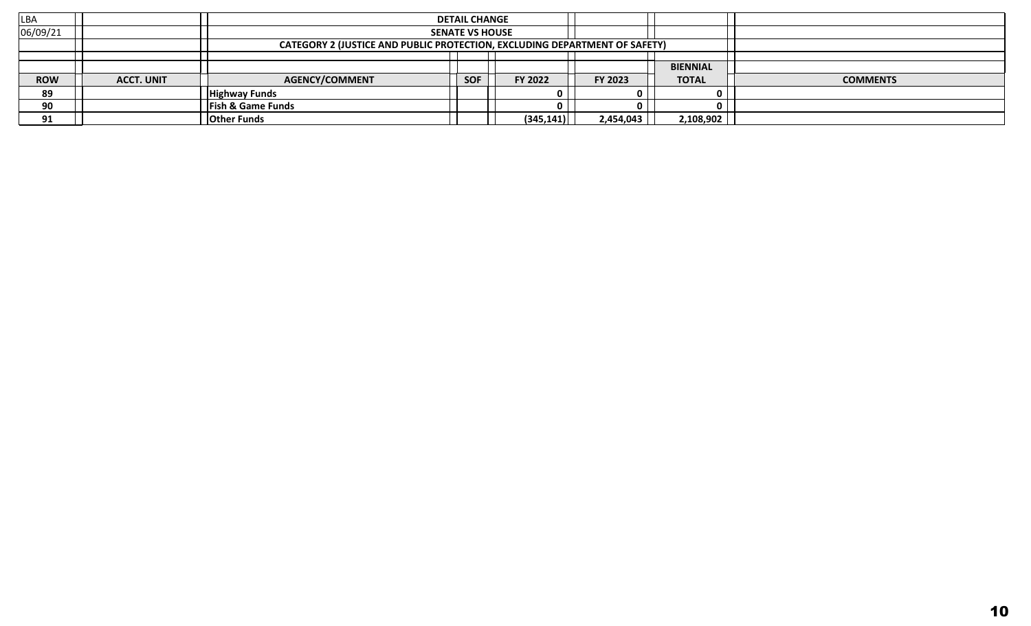| <b>LBA</b> |                   |                                                                                   | <b>DETAIL CHANGE</b> |            |           |                 |                 |
|------------|-------------------|-----------------------------------------------------------------------------------|----------------------|------------|-----------|-----------------|-----------------|
| 06/09/21   |                   | <b>SENATE VS HOUSE</b>                                                            |                      |            |           |                 |                 |
|            |                   | <b>CATEGORY 2 (JUSTICE AND PUBLIC PROTECTION, EXCLUDING DEPARTMENT OF SAFETY)</b> |                      |            |           |                 |                 |
|            |                   |                                                                                   |                      |            |           |                 |                 |
|            |                   |                                                                                   |                      |            |           | <b>BIENNIAL</b> |                 |
| <b>ROW</b> | <b>ACCT. UNIT</b> | <b>AGENCY/COMMENT</b>                                                             | <b>SOF</b>           | FY 2022    | FY 2023   | <b>TOTAL</b>    | <b>COMMENTS</b> |
| 89         |                   | <b>Highway Funds</b>                                                              |                      |            |           |                 |                 |
| 90         |                   | <b>Fish &amp; Game Funds</b>                                                      |                      |            |           |                 |                 |
| 91         |                   | <b>Other Funds</b>                                                                |                      | (345, 141) | 2,454,043 | 2,108,902       |                 |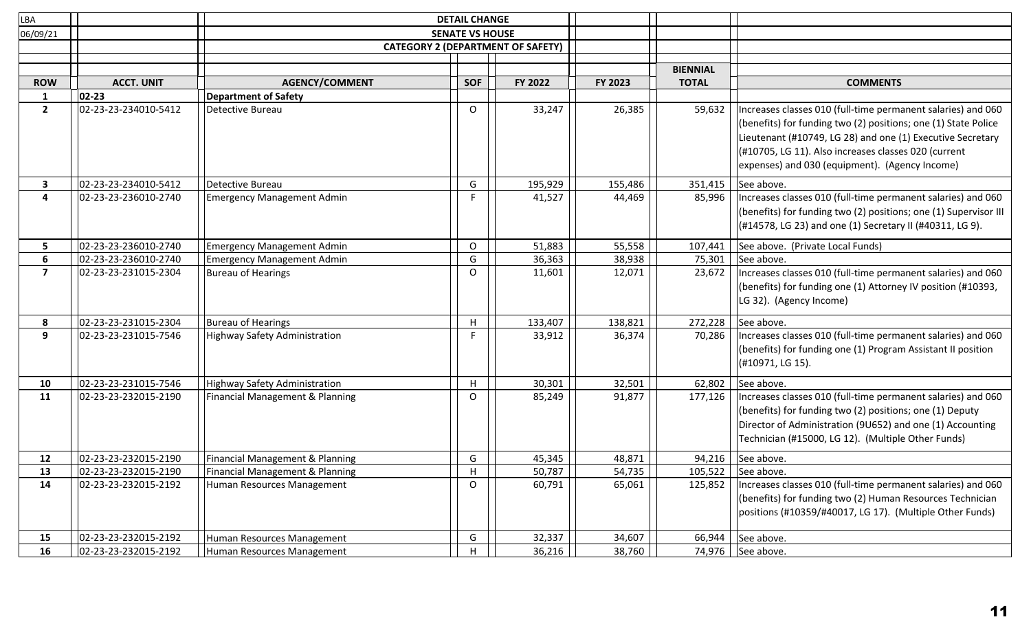| LBA            |                      |                                            | <b>DETAIL CHANGE</b>                     |         |         |                 |                                                                                                                                                                                                                                                                                                           |
|----------------|----------------------|--------------------------------------------|------------------------------------------|---------|---------|-----------------|-----------------------------------------------------------------------------------------------------------------------------------------------------------------------------------------------------------------------------------------------------------------------------------------------------------|
| 06/09/21       |                      |                                            | <b>SENATE VS HOUSE</b>                   |         |         |                 |                                                                                                                                                                                                                                                                                                           |
|                |                      |                                            | <b>CATEGORY 2 (DEPARTMENT OF SAFETY)</b> |         |         |                 |                                                                                                                                                                                                                                                                                                           |
|                |                      |                                            |                                          |         |         |                 |                                                                                                                                                                                                                                                                                                           |
|                |                      |                                            |                                          |         |         | <b>BIENNIAL</b> |                                                                                                                                                                                                                                                                                                           |
| <b>ROW</b>     | <b>ACCT. UNIT</b>    | <b>AGENCY/COMMENT</b>                      | <b>SOF</b>                               | FY 2022 | FY 2023 | <b>TOTAL</b>    | <b>COMMENTS</b>                                                                                                                                                                                                                                                                                           |
| $\mathbf{1}$   | 02-23                | <b>Department of Safety</b>                |                                          |         |         |                 |                                                                                                                                                                                                                                                                                                           |
| $\mathbf{2}$   | 02-23-23-234010-5412 | Detective Bureau                           | $\circ$                                  | 33,247  | 26,385  | 59,632          | Increases classes 010 (full-time permanent salaries) and 060<br>(benefits) for funding two (2) positions; one (1) State Police<br>Lieutenant (#10749, LG 28) and one (1) Executive Secretary<br>$($ #10705, LG 11). Also increases classes 020 (current<br>expenses) and 030 (equipment). (Agency Income) |
| 3              | 02-23-23-234010-5412 | Detective Bureau                           | G                                        | 195,929 | 155,486 | 351,415         | See above.                                                                                                                                                                                                                                                                                                |
| 4              | 02-23-23-236010-2740 | <b>Emergency Management Admin</b>          | F                                        | 41,527  | 44,469  | 85,996          | Increases classes 010 (full-time permanent salaries) and 060<br>(benefits) for funding two (2) positions; one (1) Supervisor III<br>$($ #14578, LG 23) and one (1) Secretary II (#40311, LG 9).                                                                                                           |
| 5              | 02-23-23-236010-2740 | <b>Emergency Management Admin</b>          | O                                        | 51,883  | 55,558  | 107,441         | See above. (Private Local Funds)                                                                                                                                                                                                                                                                          |
| 6              | 02-23-23-236010-2740 | <b>Emergency Management Admin</b>          | G                                        | 36,363  | 38,938  | 75,301          | See above.                                                                                                                                                                                                                                                                                                |
| $\overline{ }$ | 02-23-23-231015-2304 | Bureau of Hearings                         | O                                        | 11,601  | 12,071  | 23,672          | Increases classes 010 (full-time permanent salaries) and 060<br>(benefits) for funding one (1) Attorney IV position (#10393,<br>LG 32). (Agency Income)                                                                                                                                                   |
| 8              | 02-23-23-231015-2304 | Bureau of Hearings                         | H                                        | 133,407 | 138,821 | 272,228         | See above.                                                                                                                                                                                                                                                                                                |
| 9              | 02-23-23-231015-7546 | Highway Safety Administration              | F                                        | 33,912  | 36,374  | 70,286          | Increases classes 010 (full-time permanent salaries) and 060<br>(benefits) for funding one (1) Program Assistant II position<br>(#10971, LG 15).                                                                                                                                                          |
| 10             | 02-23-23-231015-7546 | Highway Safety Administration              | H                                        | 30,301  | 32,501  | 62,802          | See above.                                                                                                                                                                                                                                                                                                |
| 11             | 02-23-23-232015-2190 | Financial Management & Planning            | O                                        | 85,249  | 91,877  | 177,126         | Increases classes 010 (full-time permanent salaries) and 060<br>(benefits) for funding two (2) positions; one (1) Deputy<br>Director of Administration (9U652) and one (1) Accounting<br>Technician (#15000, LG 12). (Multiple Other Funds)                                                               |
| 12             | 02-23-23-232015-2190 | Financial Management & Planning            | G                                        | 45,345  | 48,871  | 94,216          | See above.                                                                                                                                                                                                                                                                                                |
| 13             | 02-23-23-232015-2190 | <b>Financial Management &amp; Planning</b> | H                                        | 50,787  | 54,735  | 105,522         | See above.                                                                                                                                                                                                                                                                                                |
| 14             | 02-23-23-232015-2192 | Human Resources Management                 | O                                        | 60,791  | 65,061  | 125,852         | Increases classes 010 (full-time permanent salaries) and 060<br>(benefits) for funding two (2) Human Resources Technician<br>positions (#10359/#40017, LG 17). (Multiple Other Funds)                                                                                                                     |
| 15             | 02-23-23-232015-2192 | Human Resources Management                 | G                                        | 32,337  | 34,607  | 66,944          | See above.                                                                                                                                                                                                                                                                                                |
| 16             | 02-23-23-232015-2192 | Human Resources Management                 | H                                        | 36,216  | 38,760  |                 | 74,976   See above.                                                                                                                                                                                                                                                                                       |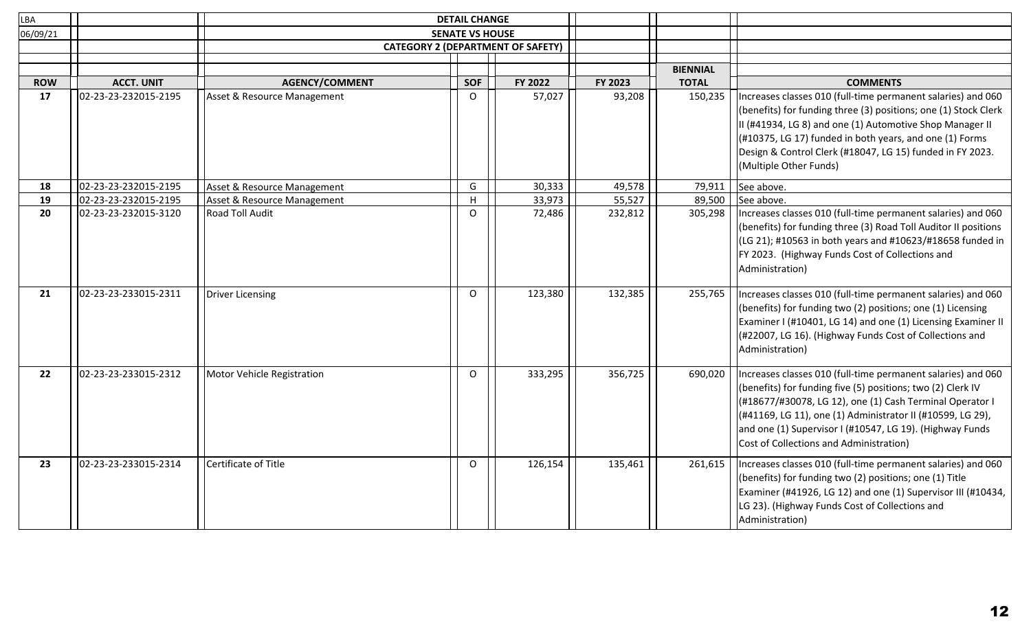| LBA              |                                           |                             | <b>DETAIL CHANGE</b>   |                                          |         |                 |                                                                                                                                                                                                                                                                                                                                                              |
|------------------|-------------------------------------------|-----------------------------|------------------------|------------------------------------------|---------|-----------------|--------------------------------------------------------------------------------------------------------------------------------------------------------------------------------------------------------------------------------------------------------------------------------------------------------------------------------------------------------------|
| 06/09/21         |                                           |                             | <b>SENATE VS HOUSE</b> |                                          |         |                 |                                                                                                                                                                                                                                                                                                                                                              |
|                  |                                           |                             |                        | <b>CATEGORY 2 (DEPARTMENT OF SAFETY)</b> |         |                 |                                                                                                                                                                                                                                                                                                                                                              |
|                  |                                           |                             |                        |                                          |         |                 |                                                                                                                                                                                                                                                                                                                                                              |
|                  |                                           |                             |                        |                                          |         | <b>BIENNIAL</b> |                                                                                                                                                                                                                                                                                                                                                              |
| <b>ROW</b><br>17 | <b>ACCT. UNIT</b><br>02-23-23-232015-2195 | <b>AGENCY/COMMENT</b>       | <b>SOF</b>             | FY 2022                                  | FY 2023 | <b>TOTAL</b>    | <b>COMMENTS</b>                                                                                                                                                                                                                                                                                                                                              |
|                  |                                           | Asset & Resource Management | $\Omega$               | 57,027                                   | 93,208  | 150,235         | Increases classes 010 (full-time permanent salaries) and 060<br>(benefits) for funding three (3) positions; one (1) Stock Clerk<br>II (#41934, LG 8) and one (1) Automotive Shop Manager II<br>$($ #10375, LG 17) funded in both years, and one (1) Forms<br>Design & Control Clerk (#18047, LG 15) funded in FY 2023.<br>(Multiple Other Funds)             |
| 18               | 02-23-23-232015-2195                      | Asset & Resource Management | G                      | 30,333                                   | 49,578  | 79,911          | See above.                                                                                                                                                                                                                                                                                                                                                   |
| 19               | 02-23-23-232015-2195                      | Asset & Resource Management | H                      | 33,973                                   | 55,527  | 89,500          | See above.                                                                                                                                                                                                                                                                                                                                                   |
| 20               | 02-23-23-232015-3120                      | Road Toll Audit             | $\circ$                | 72,486                                   | 232,812 | 305,298         | Increases classes 010 (full-time permanent salaries) and 060<br>(benefits) for funding three (3) Road Toll Auditor II positions<br>$(LG 21)$ ; #10563 in both years and #10623/#18658 funded in<br>FY 2023. (Highway Funds Cost of Collections and<br>Administration)                                                                                        |
| 21               | 02-23-23-233015-2311                      | Driver Licensing            | $\mathsf{O}$           | 123,380                                  | 132,385 | 255,765         | Increases classes 010 (full-time permanent salaries) and 060<br>(benefits) for funding two (2) positions; one (1) Licensing<br>Examiner I (#10401, LG 14) and one (1) Licensing Examiner II<br>(#22007, LG 16). (Highway Funds Cost of Collections and<br>Administration)                                                                                    |
| 22               | 02-23-23-233015-2312                      | Motor Vehicle Registration  | $\circ$                | 333,295                                  | 356,725 | 690,020         | Increases classes 010 (full-time permanent salaries) and 060<br>(benefits) for funding five (5) positions; two (2) Clerk IV<br>(#18677/#30078, LG 12), one (1) Cash Terminal Operator I<br>(#41169, LG 11), one (1) Administrator II (#10599, LG 29),<br>and one (1) Supervisor I (#10547, LG 19). (Highway Funds<br>Cost of Collections and Administration) |
| 23               | 02-23-23-233015-2314                      | Certificate of Title        | $\Omega$               | 126,154                                  | 135,461 | 261,615         | Increases classes 010 (full-time permanent salaries) and 060<br>(benefits) for funding two (2) positions; one (1) Title<br>Examiner (#41926, LG 12) and one (1) Supervisor III (#10434,<br>LG 23). (Highway Funds Cost of Collections and<br>Administration)                                                                                                 |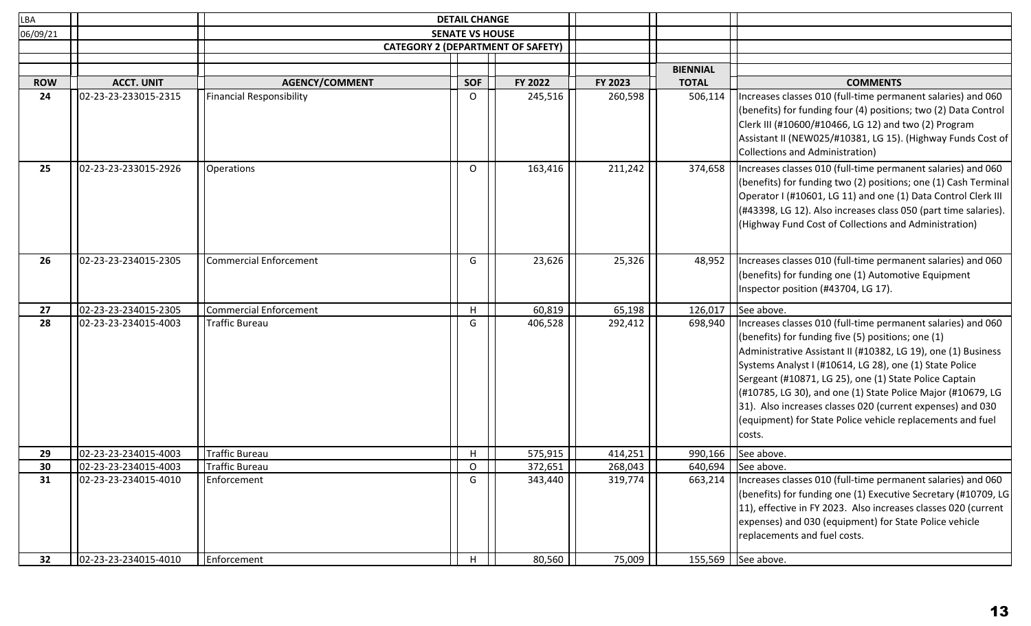| LBA        |                      |                               | <b>DETAIL CHANGE</b>                     |         |         |                 |                                                                                                                                                                                                                                                                                                                                                                                                                                                                                                                   |
|------------|----------------------|-------------------------------|------------------------------------------|---------|---------|-----------------|-------------------------------------------------------------------------------------------------------------------------------------------------------------------------------------------------------------------------------------------------------------------------------------------------------------------------------------------------------------------------------------------------------------------------------------------------------------------------------------------------------------------|
| 06/09/21   |                      |                               | <b>SENATE VS HOUSE</b>                   |         |         |                 |                                                                                                                                                                                                                                                                                                                                                                                                                                                                                                                   |
|            |                      |                               | <b>CATEGORY 2 (DEPARTMENT OF SAFETY)</b> |         |         |                 |                                                                                                                                                                                                                                                                                                                                                                                                                                                                                                                   |
|            |                      |                               |                                          |         |         |                 |                                                                                                                                                                                                                                                                                                                                                                                                                                                                                                                   |
|            |                      |                               |                                          |         |         | <b>BIENNIAL</b> |                                                                                                                                                                                                                                                                                                                                                                                                                                                                                                                   |
| <b>ROW</b> | <b>ACCT. UNIT</b>    | <b>AGENCY/COMMENT</b>         | <b>SOF</b>                               | FY 2022 | FY 2023 | <b>TOTAL</b>    | <b>COMMENTS</b>                                                                                                                                                                                                                                                                                                                                                                                                                                                                                                   |
| 24         | 02-23-23-233015-2315 | Financial Responsibility      | 0                                        | 245,516 | 260,598 | 506,114         | Increases classes 010 (full-time permanent salaries) and 060<br>(benefits) for funding four (4) positions; two (2) Data Control<br>Clerk III (#10600/#10466, LG 12) and two (2) Program<br>Assistant II (NEW025/#10381, LG 15). (Highway Funds Cost of<br>Collections and Administration)                                                                                                                                                                                                                         |
| 25         | 02-23-23-233015-2926 | Operations                    | O                                        | 163,416 | 211,242 | 374,658         | Increases classes 010 (full-time permanent salaries) and 060<br>(benefits) for funding two (2) positions; one (1) Cash Terminal<br>Operator I (#10601, LG 11) and one (1) Data Control Clerk III<br>(#43398, LG 12). Also increases class 050 (part time salaries).<br>(Highway Fund Cost of Collections and Administration)                                                                                                                                                                                      |
| 26         | 02-23-23-234015-2305 | <b>Commercial Enforcement</b> | G                                        | 23,626  | 25,326  | 48,952          | Increases classes 010 (full-time permanent salaries) and 060<br>(benefits) for funding one (1) Automotive Equipment<br>Inspector position (#43704, LG 17).                                                                                                                                                                                                                                                                                                                                                        |
| 27         | 02-23-23-234015-2305 | Commercial Enforcement        | H                                        | 60,819  | 65,198  | 126,017         | See above.                                                                                                                                                                                                                                                                                                                                                                                                                                                                                                        |
| 28         | 02-23-23-234015-4003 | Traffic Bureau                | G                                        | 406,528 | 292,412 | 698,940         | Increases classes 010 (full-time permanent salaries) and 060<br>(benefits) for funding five $(5)$ positions; one $(1)$<br>Administrative Assistant II (#10382, LG 19), one (1) Business<br>Systems Analyst I (#10614, LG 28), one (1) State Police<br>Sergeant (#10871, LG 25), one (1) State Police Captain<br>(#10785, LG 30), and one (1) State Police Major (#10679, LG<br>31). Also increases classes 020 (current expenses) and 030<br>(equipment) for State Police vehicle replacements and fuel<br>costs. |
| 29         | 02-23-23-234015-4003 | Traffic Bureau                | H                                        | 575,915 | 414,251 | 990,166         | See above.                                                                                                                                                                                                                                                                                                                                                                                                                                                                                                        |
| 30         | 02-23-23-234015-4003 | Traffic Bureau                | $\circ$                                  | 372,651 | 268,043 | 640,694         | See above.                                                                                                                                                                                                                                                                                                                                                                                                                                                                                                        |
| 31         | 02-23-23-234015-4010 | Enforcement                   | G                                        | 343,440 | 319,774 | 663,214         | Increases classes 010 (full-time permanent salaries) and 060<br>(benefits) for funding one (1) Executive Secretary (#10709, LG<br>11), effective in FY 2023. Also increases classes 020 (current<br>expenses) and 030 (equipment) for State Police vehicle<br>replacements and fuel costs.                                                                                                                                                                                                                        |
| 32         | 02-23-23-234015-4010 | Enforcement                   | H                                        | 80,560  | 75,009  | 155,569         | See above.                                                                                                                                                                                                                                                                                                                                                                                                                                                                                                        |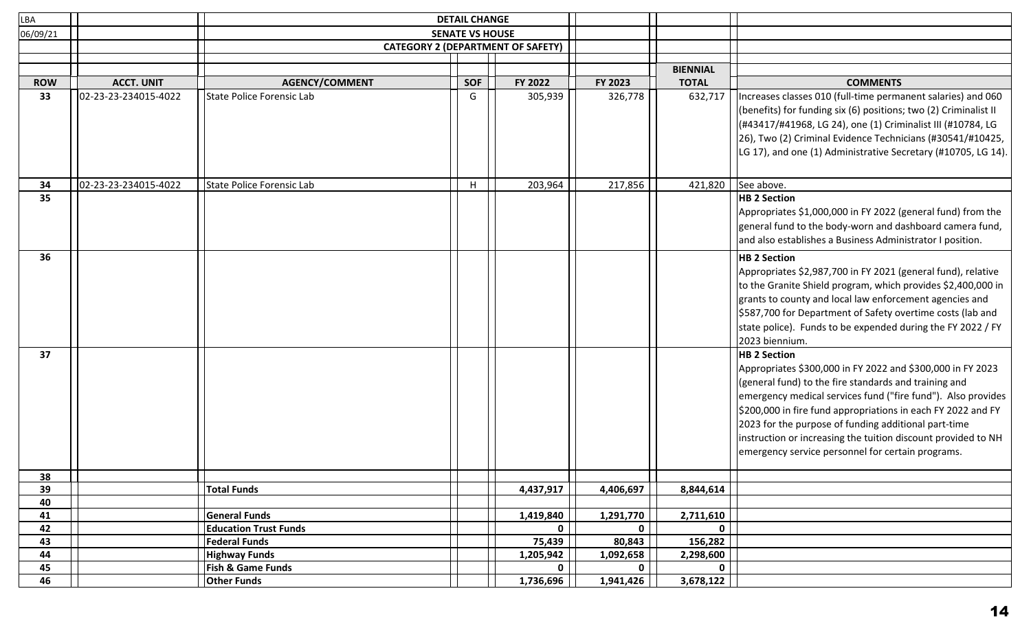| LBA        |                      |                              | <b>DETAIL CHANGE</b>                     |             |              |                 |                                                                                                                                                                                                                                                                                                                                                                                                                                   |
|------------|----------------------|------------------------------|------------------------------------------|-------------|--------------|-----------------|-----------------------------------------------------------------------------------------------------------------------------------------------------------------------------------------------------------------------------------------------------------------------------------------------------------------------------------------------------------------------------------------------------------------------------------|
| 06/09/21   |                      |                              | <b>SENATE VS HOUSE</b>                   |             |              |                 |                                                                                                                                                                                                                                                                                                                                                                                                                                   |
|            |                      |                              | <b>CATEGORY 2 (DEPARTMENT OF SAFETY)</b> |             |              |                 |                                                                                                                                                                                                                                                                                                                                                                                                                                   |
|            |                      |                              |                                          |             |              | <b>BIENNIAL</b> |                                                                                                                                                                                                                                                                                                                                                                                                                                   |
| <b>ROW</b> | <b>ACCT. UNIT</b>    | <b>AGENCY/COMMENT</b>        | <b>SOF</b>                               | FY 2022     | FY 2023      | <b>TOTAL</b>    | <b>COMMENTS</b>                                                                                                                                                                                                                                                                                                                                                                                                                   |
| 33         | 02-23-23-234015-4022 | State Police Forensic Lab    | G                                        | 305,939     | 326,778      | 632,717         | Increases classes 010 (full-time permanent salaries) and 060                                                                                                                                                                                                                                                                                                                                                                      |
|            |                      |                              |                                          |             |              |                 | (benefits) for funding six (6) positions; two (2) Criminalist II<br>(#43417/#41968, LG 24), one (1) Criminalist III (#10784, LG<br>26), Two (2) Criminal Evidence Technicians (#30541/#10425,<br>LG 17), and one (1) Administrative Secretary (#10705, LG 14).                                                                                                                                                                    |
| 34         | 02-23-23-234015-4022 | State Police Forensic Lab    | H                                        | 203,964     | 217,856      | 421,820         | See above.                                                                                                                                                                                                                                                                                                                                                                                                                        |
| 35         |                      |                              |                                          |             |              |                 | <b>HB 2 Section</b><br>Appropriates \$1,000,000 in FY 2022 (general fund) from the<br>general fund to the body-worn and dashboard camera fund,<br>and also establishes a Business Administrator I position.                                                                                                                                                                                                                       |
| 36<br>37   |                      |                              |                                          |             |              |                 | <b>HB 2 Section</b><br>Appropriates \$2,987,700 in FY 2021 (general fund), relative<br>to the Granite Shield program, which provides \$2,400,000 in<br>grants to county and local law enforcement agencies and<br>\$587,700 for Department of Safety overtime costs (lab and<br>state police). Funds to be expended during the FY 2022 / FY<br>2023 biennium.<br><b>HB 2 Section</b>                                              |
|            |                      |                              |                                          |             |              |                 | Appropriates \$300,000 in FY 2022 and \$300,000 in FY 2023<br>(general fund) to the fire standards and training and<br>emergency medical services fund ("fire fund"). Also provides<br>\$200,000 in fire fund appropriations in each FY 2022 and FY<br>2023 for the purpose of funding additional part-time<br>instruction or increasing the tuition discount provided to NH<br>emergency service personnel for certain programs. |
| 38         |                      |                              |                                          |             |              |                 |                                                                                                                                                                                                                                                                                                                                                                                                                                   |
| 39         |                      | <b>Total Funds</b>           |                                          | 4,437,917   | 4,406,697    | 8,844,614       |                                                                                                                                                                                                                                                                                                                                                                                                                                   |
| 40         |                      |                              |                                          |             |              |                 |                                                                                                                                                                                                                                                                                                                                                                                                                                   |
| 41         |                      | <b>General Funds</b>         |                                          | 1,419,840   | 1,291,770    | 2,711,610       |                                                                                                                                                                                                                                                                                                                                                                                                                                   |
| 42         |                      | <b>Education Trust Funds</b> |                                          | $\mathbf 0$ | $\mathbf{0}$ | $\mathbf 0$     |                                                                                                                                                                                                                                                                                                                                                                                                                                   |
| 43         |                      | <b>Federal Funds</b>         |                                          | 75,439      | 80,843       | 156,282         |                                                                                                                                                                                                                                                                                                                                                                                                                                   |
| 44         |                      | <b>Highway Funds</b>         |                                          | 1,205,942   | 1,092,658    | 2,298,600       |                                                                                                                                                                                                                                                                                                                                                                                                                                   |
| 45         |                      | <b>Fish &amp; Game Funds</b> |                                          | $\mathbf 0$ | $\mathbf{0}$ | $\mathbf 0$     |                                                                                                                                                                                                                                                                                                                                                                                                                                   |
| 46         |                      | <b>Other Funds</b>           |                                          | 1,736,696   | 1,941,426    | 3,678,122       |                                                                                                                                                                                                                                                                                                                                                                                                                                   |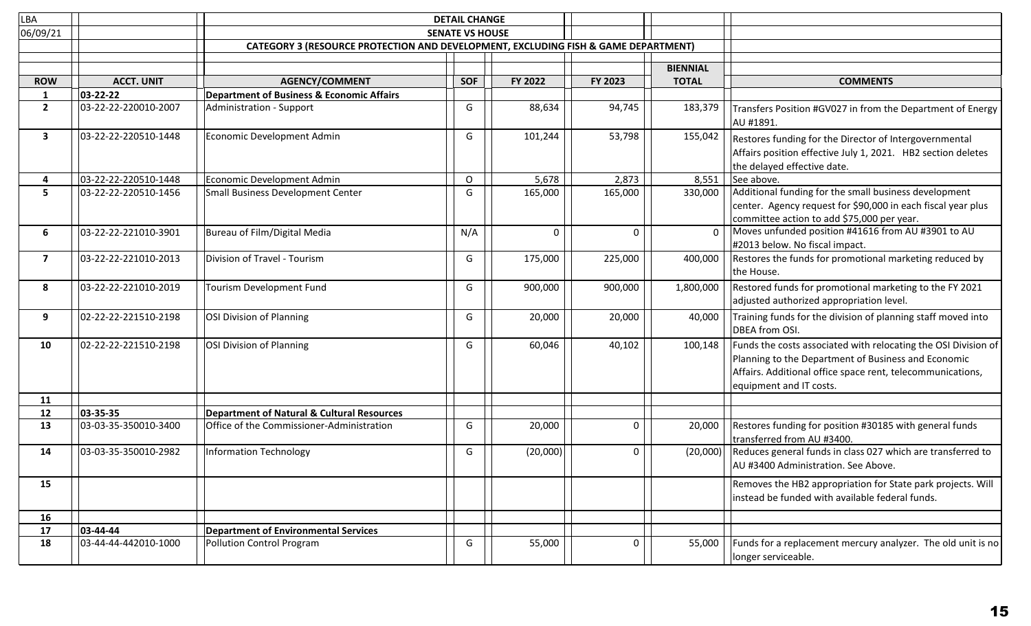| LBA            |                      |                                                                                    | <b>DETAIL CHANGE</b>   |          |              |                 |                                                                                                                                                                                                                |
|----------------|----------------------|------------------------------------------------------------------------------------|------------------------|----------|--------------|-----------------|----------------------------------------------------------------------------------------------------------------------------------------------------------------------------------------------------------------|
| 06/09/21       |                      |                                                                                    | <b>SENATE VS HOUSE</b> |          |              |                 |                                                                                                                                                                                                                |
|                |                      | CATEGORY 3 (RESOURCE PROTECTION AND DEVELOPMENT, EXCLUDING FISH & GAME DEPARTMENT) |                        |          |              |                 |                                                                                                                                                                                                                |
|                |                      |                                                                                    |                        |          |              |                 |                                                                                                                                                                                                                |
|                |                      |                                                                                    |                        |          |              | <b>BIENNIAL</b> |                                                                                                                                                                                                                |
| <b>ROW</b>     | <b>ACCT. UNIT</b>    | <b>AGENCY/COMMENT</b>                                                              | <b>SOF</b>             | FY 2022  | FY 2023      | <b>TOTAL</b>    | <b>COMMENTS</b>                                                                                                                                                                                                |
| 1              | 03-22-22             | <b>Department of Business &amp; Economic Affairs</b>                               |                        |          |              |                 |                                                                                                                                                                                                                |
| $\overline{2}$ | 03-22-22-220010-2007 | Administration - Support                                                           | G                      | 88,634   | 94,745       | 183,379         | Transfers Position #GV027 in from the Department of Energy<br>AU #1891.                                                                                                                                        |
| $\mathbf{3}$   | 03-22-22-220510-1448 | Economic Development Admin                                                         | G                      | 101,244  | 53,798       | 155,042         | Restores funding for the Director of Intergovernmental<br>Affairs position effective July 1, 2021. HB2 section deletes<br>the delayed effective date.                                                          |
| 4              | 03-22-22-220510-1448 | Economic Development Admin                                                         | $\mathsf O$            | 5,678    | 2,873        | 8,551           | See above.                                                                                                                                                                                                     |
| 5              | 03-22-22-220510-1456 | Small Business Development Center                                                  | G                      | 165,000  | 165,000      | 330,000         | Additional funding for the small business development<br>center. Agency request for \$90,000 in each fiscal year plus<br>committee action to add \$75,000 per year.                                            |
| 6              | 03-22-22-221010-3901 | Bureau of Film/Digital Media                                                       | N/A                    | $\Omega$ | $\Omega$     | $\Omega$        | Moves unfunded position #41616 from AU #3901 to AU<br>#2013 below. No fiscal impact.                                                                                                                           |
| $\overline{7}$ | 03-22-22-221010-2013 | Division of Travel - Tourism                                                       | G                      | 175,000  | 225,000      | 400,000         | Restores the funds for promotional marketing reduced by<br>the House.                                                                                                                                          |
| 8              | 03-22-22-221010-2019 | Tourism Development Fund                                                           | G                      | 900,000  | 900,000      | 1,800,000       | Restored funds for promotional marketing to the FY 2021<br>adjusted authorized appropriation level.                                                                                                            |
| 9              | 02-22-22-221510-2198 | OSI Division of Planning                                                           | G                      | 20,000   | 20,000       | 40,000          | Training funds for the division of planning staff moved into<br>DBEA from OSI.                                                                                                                                 |
| 10             | 02-22-22-221510-2198 | OSI Division of Planning                                                           | G                      | 60,046   | 40,102       | 100,148         | Funds the costs associated with relocating the OSI Division of<br>Planning to the Department of Business and Economic<br>Affairs. Additional office space rent, telecommunications,<br>equipment and IT costs. |
| 11             |                      |                                                                                    |                        |          |              |                 |                                                                                                                                                                                                                |
| 12             | 03-35-35             | <b>Department of Natural &amp; Cultural Resources</b>                              |                        |          |              |                 |                                                                                                                                                                                                                |
| 13             | 03-03-35-350010-3400 | Office of the Commissioner-Administration                                          | G                      | 20,000   | $\Omega$     | 20,000          | Restores funding for position #30185 with general funds<br>transferred from AU #3400.                                                                                                                          |
| 14             | 03-03-35-350010-2982 | <b>Information Technology</b>                                                      | G                      | (20,000) | $\mathbf{0}$ | (20,000)        | Reduces general funds in class 027 which are transferred to<br>AU #3400 Administration. See Above.                                                                                                             |
| 15             |                      |                                                                                    |                        |          |              |                 | Removes the HB2 appropriation for State park projects. Will<br>instead be funded with available federal funds.                                                                                                 |
| 16             |                      |                                                                                    |                        |          |              |                 |                                                                                                                                                                                                                |
| 17             | 03-44-44             | <b>Department of Environmental Services</b>                                        |                        |          |              |                 |                                                                                                                                                                                                                |
| 18             | 03-44-44-442010-1000 | Pollution Control Program                                                          | G                      | 55,000   | $\Omega$     | 55,000          | Funds for a replacement mercury analyzer. The old unit is no<br>longer serviceable.                                                                                                                            |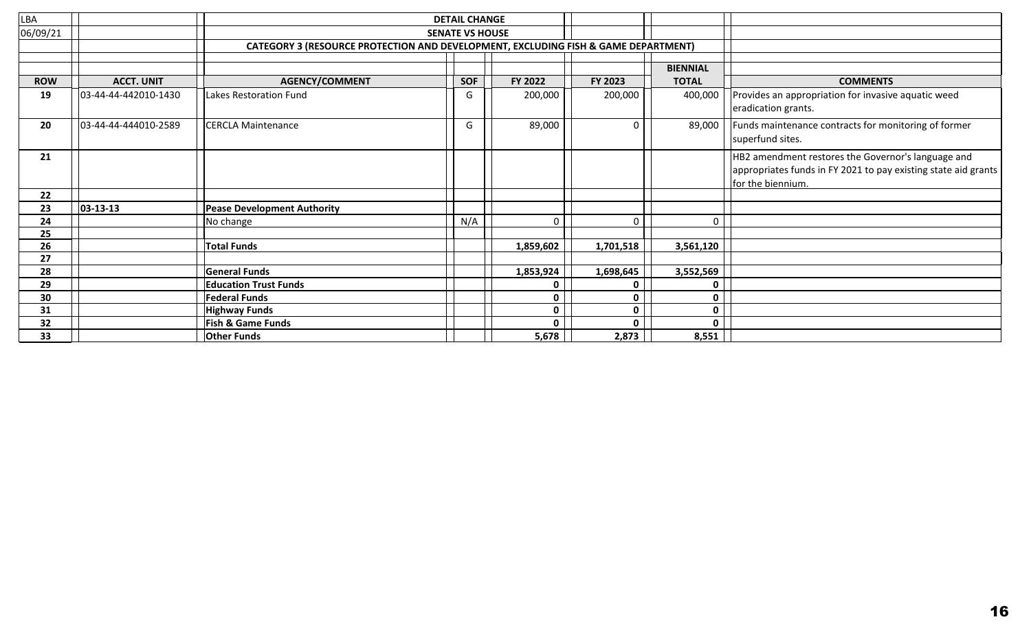| <b>LBA</b> |                      |                                                                                    | <b>DETAIL CHANGE</b>   |              |              |                 |                                                                                                                                           |
|------------|----------------------|------------------------------------------------------------------------------------|------------------------|--------------|--------------|-----------------|-------------------------------------------------------------------------------------------------------------------------------------------|
| 06/09/21   |                      |                                                                                    | <b>SENATE VS HOUSE</b> |              |              |                 |                                                                                                                                           |
|            |                      | CATEGORY 3 (RESOURCE PROTECTION AND DEVELOPMENT, EXCLUDING FISH & GAME DEPARTMENT) |                        |              |              |                 |                                                                                                                                           |
|            |                      |                                                                                    |                        |              |              |                 |                                                                                                                                           |
|            |                      |                                                                                    |                        |              |              | <b>BIENNIAL</b> |                                                                                                                                           |
| <b>ROW</b> | <b>ACCT. UNIT</b>    | <b>AGENCY/COMMENT</b>                                                              | <b>SOF</b>             | FY 2022      | FY 2023      | <b>TOTAL</b>    | <b>COMMENTS</b>                                                                                                                           |
| 19         | 03-44-44-442010-1430 | Lakes Restoration Fund                                                             | G                      | 200,000      | 200,000      | 400,000         | Provides an appropriation for invasive aquatic weed<br>eradication grants.                                                                |
| 20         | 03-44-44-444010-2589 | <b>CERCLA Maintenance</b>                                                          | G                      | 89,000       | 0            | 89,000          | Funds maintenance contracts for monitoring of former<br>superfund sites.                                                                  |
| 21         |                      |                                                                                    |                        |              |              |                 | HB2 amendment restores the Governor's language and<br>appropriates funds in FY 2021 to pay existing state aid grants<br>for the biennium. |
| 22         |                      |                                                                                    |                        |              |              |                 |                                                                                                                                           |
| 23         | $ 03 - 13 - 13 $     | <b>Pease Development Authority</b>                                                 |                        |              |              |                 |                                                                                                                                           |
| 24         |                      | No change                                                                          | N/A                    | 0            | 0            | $\mathbf 0$     |                                                                                                                                           |
| 25         |                      |                                                                                    |                        |              |              |                 |                                                                                                                                           |
| 26         |                      | <b>Total Funds</b>                                                                 |                        | 1,859,602    | 1,701,518    | 3,561,120       |                                                                                                                                           |
| 27         |                      |                                                                                    |                        |              |              |                 |                                                                                                                                           |
| 28         |                      | <b>General Funds</b>                                                               |                        | 1,853,924    | 1,698,645    | 3,552,569       |                                                                                                                                           |
| 29         |                      | <b>Education Trust Funds</b>                                                       |                        | 0            | $\mathbf 0$  | 0               |                                                                                                                                           |
| 30         |                      | <b>Federal Funds</b>                                                               |                        | 0            | $\mathbf{0}$ | $\mathbf 0$     |                                                                                                                                           |
| 31         |                      | <b>Highway Funds</b>                                                               |                        | $\mathbf{0}$ | $\mathbf{0}$ | 0               |                                                                                                                                           |
| 32         |                      | <b>Fish &amp; Game Funds</b>                                                       |                        | O            | 0            | 0               |                                                                                                                                           |
| 33         |                      | <b>Other Funds</b>                                                                 |                        | 5,678        | 2,873        | 8,551           |                                                                                                                                           |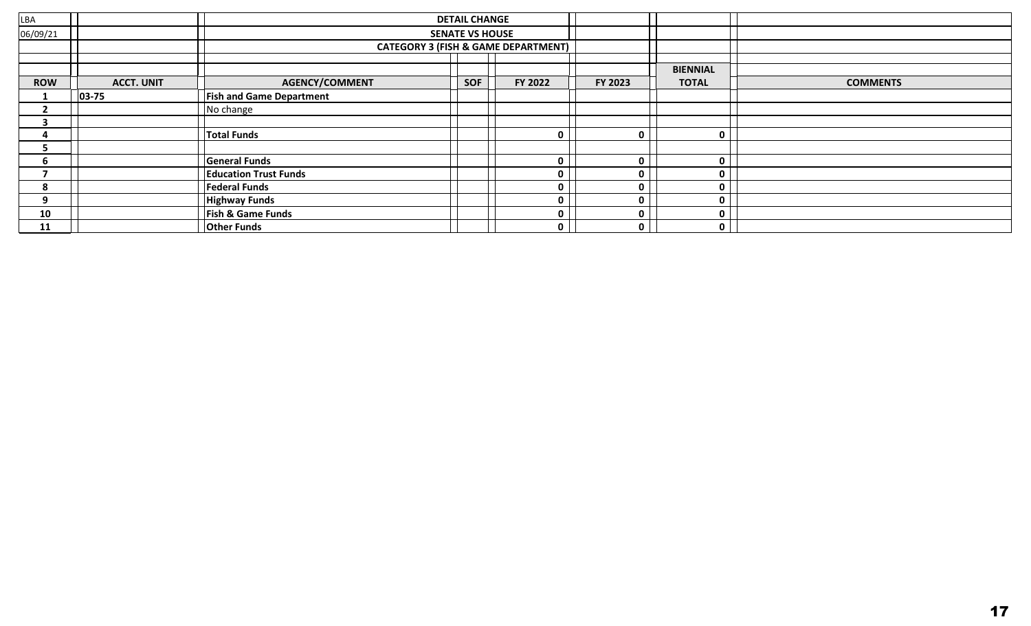| LBA        |                   |                                 | <b>DETAIL CHANGE</b>   |                                                |         |                 |                 |
|------------|-------------------|---------------------------------|------------------------|------------------------------------------------|---------|-----------------|-----------------|
| 06/09/21   |                   |                                 | <b>SENATE VS HOUSE</b> |                                                |         |                 |                 |
|            |                   |                                 |                        | <b>CATEGORY 3 (FISH &amp; GAME DEPARTMENT)</b> |         |                 |                 |
|            |                   |                                 |                        |                                                |         |                 |                 |
|            |                   |                                 |                        |                                                |         | <b>BIENNIAL</b> |                 |
| <b>ROW</b> | <b>ACCT. UNIT</b> | <b>AGENCY/COMMENT</b>           | <b>SOF</b>             | FY 2022                                        | FY 2023 | <b>TOTAL</b>    | <b>COMMENTS</b> |
|            | $ 03 - 75 $       | <b>Fish and Game Department</b> |                        |                                                |         |                 |                 |
|            |                   | No change                       |                        |                                                |         |                 |                 |
| 3          |                   |                                 |                        |                                                |         |                 |                 |
|            |                   | <b>Total Funds</b>              |                        | <sup>n</sup>                                   |         | $\mathbf 0$     |                 |
|            |                   |                                 |                        |                                                |         |                 |                 |
| b          |                   | <b>General Funds</b>            |                        | <sup>n</sup>                                   |         | $\mathbf{0}$    |                 |
|            |                   | <b>Education Trust Funds</b>    |                        | n                                              |         | $\mathbf 0$     |                 |
| 8          |                   | <b>Federal Funds</b>            |                        | o                                              |         | $\mathbf 0$     |                 |
| 9          |                   | <b>Highway Funds</b>            |                        | o                                              |         | $\mathbf 0$     |                 |
| 10         |                   | Fish & Game Funds               |                        | 0                                              |         | $\mathbf 0$     |                 |
| 11         |                   | <b>Other Funds</b>              |                        | n                                              |         | $\mathbf{0}$    |                 |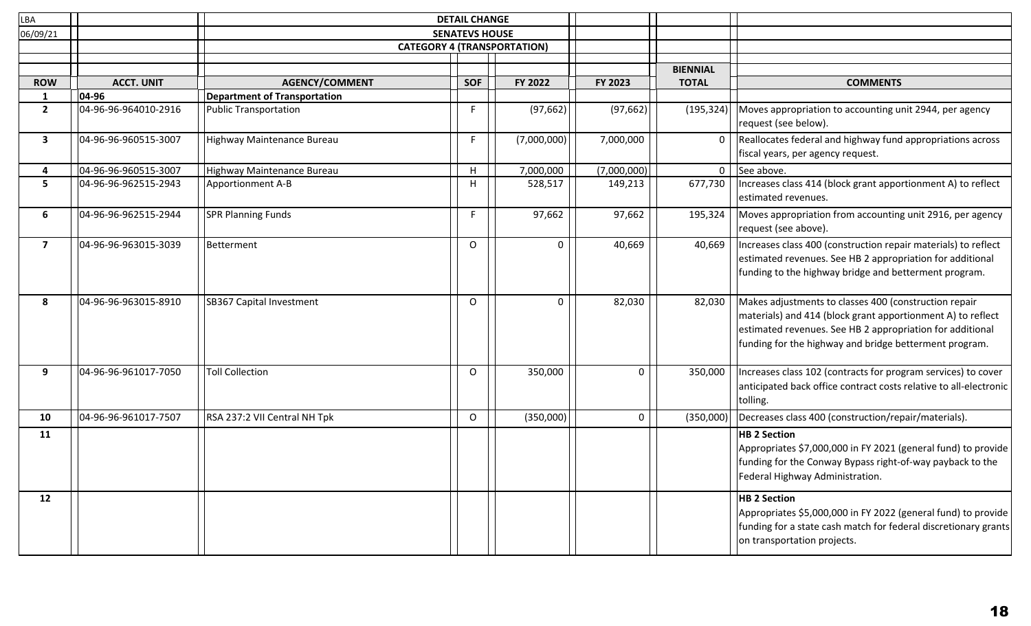| LBA                     |                      |                                                             | <b>DETAIL CHANGE</b> |             |             |                                 |                                                                                                                                                                                                                                             |
|-------------------------|----------------------|-------------------------------------------------------------|----------------------|-------------|-------------|---------------------------------|---------------------------------------------------------------------------------------------------------------------------------------------------------------------------------------------------------------------------------------------|
| 06/09/21                |                      | <b>SENATEVS HOUSE</b><br><b>CATEGORY 4 (TRANSPORTATION)</b> |                      |             |             |                                 |                                                                                                                                                                                                                                             |
|                         |                      |                                                             |                      |             |             |                                 |                                                                                                                                                                                                                                             |
| <b>ROW</b>              | <b>ACCT. UNIT</b>    | <b>AGENCY/COMMENT</b>                                       | <b>SOF</b>           | FY 2022     | FY 2023     | <b>BIENNIAL</b><br><b>TOTAL</b> | <b>COMMENTS</b>                                                                                                                                                                                                                             |
| $\mathbf{1}$            | 04-96                | <b>Department of Transportation</b>                         |                      |             |             |                                 |                                                                                                                                                                                                                                             |
| $2^{\circ}$             | 04-96-96-964010-2916 | <b>Public Transportation</b>                                |                      | (97, 662)   | (97, 662)   | (195, 324)                      | Moves appropriation to accounting unit 2944, per agency<br>request (see below).                                                                                                                                                             |
| 3                       | 04-96-96-960515-3007 | Highway Maintenance Bureau                                  | F                    | (7,000,000) | 7,000,000   | 0                               | Reallocates federal and highway fund appropriations across<br>fiscal years, per agency request.                                                                                                                                             |
| 4                       | 04-96-96-960515-3007 | Highway Maintenance Bureau                                  | н                    | 7,000,000   | (7,000,000) | $\mathbf{0}$                    | See above.                                                                                                                                                                                                                                  |
| 5                       | 04-96-96-962515-2943 | Apportionment A-B                                           | н                    | 528,517     | 149,213     | 677,730                         | Increases class 414 (block grant apportionment A) to reflect<br>estimated revenues.                                                                                                                                                         |
| 6                       | 04-96-96-962515-2944 | <b>SPR Planning Funds</b>                                   | F.                   | 97,662      | 97,662      | 195,324                         | Moves appropriation from accounting unit 2916, per agency<br>request (see above).                                                                                                                                                           |
| $\overline{\mathbf{z}}$ | 04-96-96-963015-3039 | Betterment                                                  | $\Omega$             | 0           | 40,669      | 40,669                          | Increases class 400 (construction repair materials) to reflect<br>estimated revenues. See HB 2 appropriation for additional<br>funding to the highway bridge and betterment program.                                                        |
| 8                       | 04-96-96-963015-8910 | SB367 Capital Investment                                    | O                    | 0           | 82,030      | 82,030                          | Makes adjustments to classes 400 (construction repair<br>materials) and 414 (block grant apportionment A) to reflect<br>estimated revenues. See HB 2 appropriation for additional<br>funding for the highway and bridge betterment program. |
| 9                       | 04-96-96-961017-7050 | <b>Toll Collection</b>                                      | $\Omega$             | 350,000     | 0           | 350,000                         | Increases class 102 (contracts for program services) to cover<br>anticipated back office contract costs relative to all-electronic<br>tolling.                                                                                              |
| 10                      | 04-96-96-961017-7507 | RSA 237:2 VII Central NH Tpk                                | $\circ$              | (350,000)   | $\mathbf 0$ | (350,000)                       | Decreases class 400 (construction/repair/materials).                                                                                                                                                                                        |
| 11                      |                      |                                                             |                      |             |             |                                 | <b>HB 2 Section</b><br>Appropriates \$7,000,000 in FY 2021 (general fund) to provide<br>funding for the Conway Bypass right-of-way payback to the<br>Federal Highway Administration.                                                        |
| 12                      |                      |                                                             |                      |             |             |                                 | <b>HB 2 Section</b><br>Appropriates \$5,000,000 in FY 2022 (general fund) to provide<br>funding for a state cash match for federal discretionary grants<br>on transportation projects.                                                      |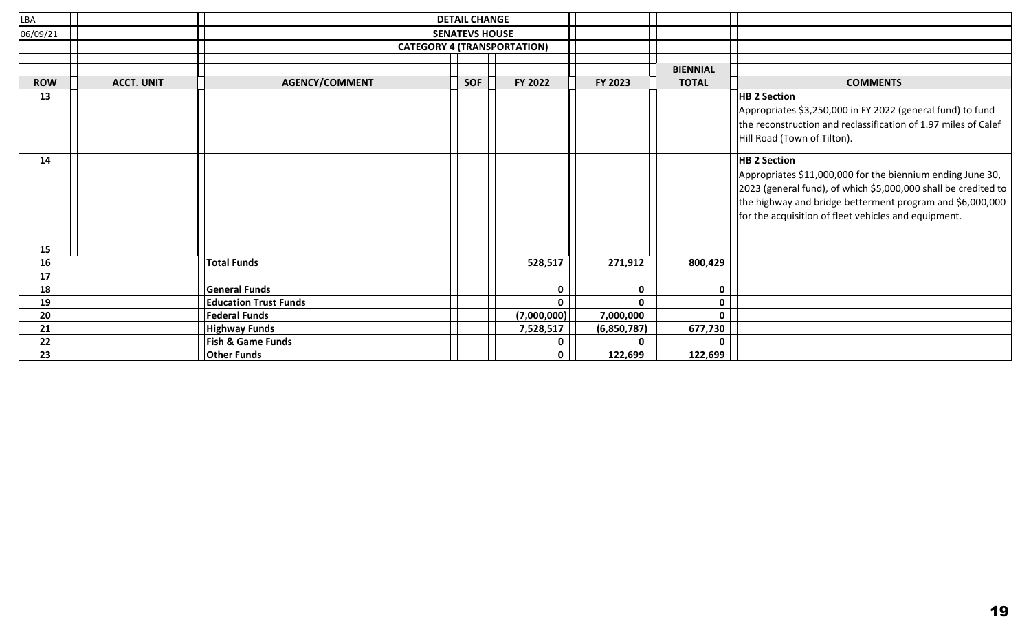| LBA        | <b>DETAIL CHANGE</b>  |                              |            |                                    |              |                 |                                                                                                                                                                                                                                                                          |
|------------|-----------------------|------------------------------|------------|------------------------------------|--------------|-----------------|--------------------------------------------------------------------------------------------------------------------------------------------------------------------------------------------------------------------------------------------------------------------------|
| 06/09/21   | <b>SENATEVS HOUSE</b> |                              |            |                                    |              |                 |                                                                                                                                                                                                                                                                          |
|            |                       |                              |            | <b>CATEGORY 4 (TRANSPORTATION)</b> |              |                 |                                                                                                                                                                                                                                                                          |
|            |                       |                              |            |                                    |              |                 |                                                                                                                                                                                                                                                                          |
|            |                       |                              |            |                                    |              | <b>BIENNIAL</b> |                                                                                                                                                                                                                                                                          |
| <b>ROW</b> | <b>ACCT. UNIT</b>     | <b>AGENCY/COMMENT</b>        | <b>SOF</b> | FY 2022                            | FY 2023      | <b>TOTAL</b>    | <b>COMMENTS</b>                                                                                                                                                                                                                                                          |
| 13         |                       |                              |            |                                    |              |                 | <b>HB 2 Section</b><br>Appropriates \$3,250,000 in FY 2022 (general fund) to fund<br>the reconstruction and reclassification of 1.97 miles of Calef<br>Hill Road (Town of Tilton).                                                                                       |
| 14         |                       |                              |            |                                    |              |                 | <b>HB 2 Section</b><br>Appropriates \$11,000,000 for the biennium ending June 30,<br>2023 (general fund), of which \$5,000,000 shall be credited to<br>the highway and bridge betterment program and \$6,000,000<br>for the acquisition of fleet vehicles and equipment. |
| 15         |                       |                              |            |                                    |              |                 |                                                                                                                                                                                                                                                                          |
| 16         |                       | <b>Total Funds</b>           |            | 528,517                            | 271,912      | 800,429         |                                                                                                                                                                                                                                                                          |
| 17         |                       |                              |            |                                    |              |                 |                                                                                                                                                                                                                                                                          |
| 18         |                       | <b>General Funds</b>         |            | $\mathbf{0}$                       | $\mathbf{0}$ | $\mathbf{0}$    |                                                                                                                                                                                                                                                                          |
| 19         |                       | <b>Education Trust Funds</b> |            | $\mathbf 0$                        | $\mathbf{0}$ | $\mathbf 0$     |                                                                                                                                                                                                                                                                          |
| 20         |                       | <b>Federal Funds</b>         |            | (7,000,000)                        | 7,000,000    | $\mathbf{0}$    |                                                                                                                                                                                                                                                                          |
| 21         |                       | <b>Highway Funds</b>         |            | 7,528,517                          | (6,850,787)  | 677,730         |                                                                                                                                                                                                                                                                          |
| 22         |                       | <b>Fish &amp; Game Funds</b> |            | 0                                  |              | 0               |                                                                                                                                                                                                                                                                          |
| 23         |                       | <b>Other Funds</b>           |            | $\mathbf 0$                        | 122,699      | 122,699         |                                                                                                                                                                                                                                                                          |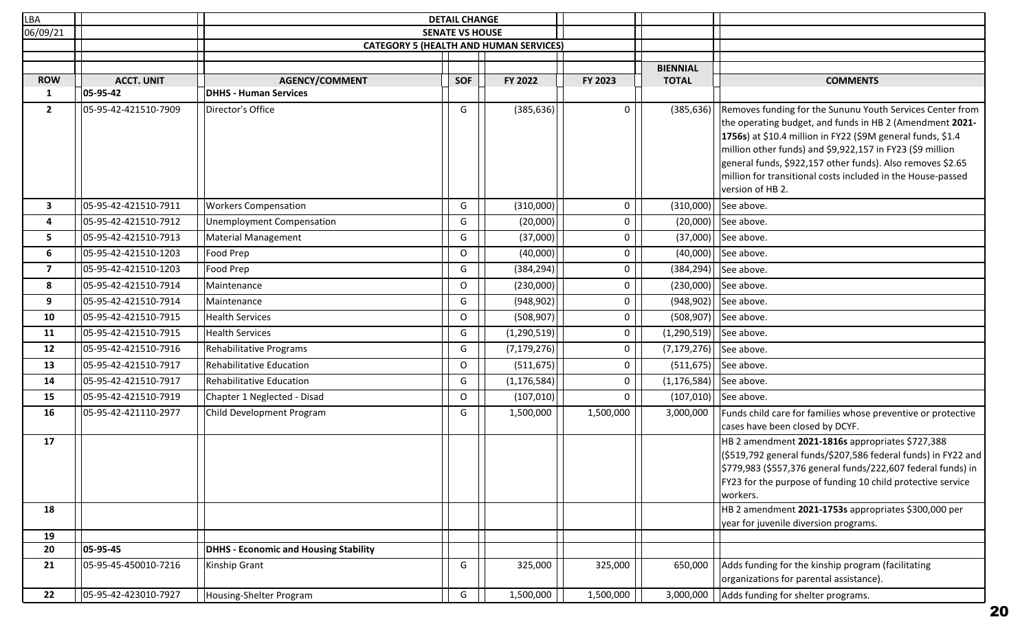| LBA               |                      |                                              | <b>DETAIL CHANGE</b>                          |               |              |                 |                                                                                                                                                                                                                                                                                                                                                                                                    |
|-------------------|----------------------|----------------------------------------------|-----------------------------------------------|---------------|--------------|-----------------|----------------------------------------------------------------------------------------------------------------------------------------------------------------------------------------------------------------------------------------------------------------------------------------------------------------------------------------------------------------------------------------------------|
| 06/09/21          |                      |                                              | <b>SENATE VS HOUSE</b>                        |               |              |                 |                                                                                                                                                                                                                                                                                                                                                                                                    |
|                   |                      |                                              | <b>CATEGORY 5 (HEALTH AND HUMAN SERVICES)</b> |               |              |                 |                                                                                                                                                                                                                                                                                                                                                                                                    |
|                   |                      |                                              |                                               |               |              | <b>BIENNIAL</b> |                                                                                                                                                                                                                                                                                                                                                                                                    |
| <b>ROW</b>        | <b>ACCT. UNIT</b>    | <b>AGENCY/COMMENT</b>                        | <b>SOF</b>                                    | FY 2022       | FY 2023      | <b>TOTAL</b>    | <b>COMMENTS</b>                                                                                                                                                                                                                                                                                                                                                                                    |
| 1                 | 05-95-42             | <b>DHHS - Human Services</b>                 |                                               |               |              |                 |                                                                                                                                                                                                                                                                                                                                                                                                    |
| $\overline{2}$    | 05-95-42-421510-7909 | Director's Office                            | G                                             | (385, 636)    | 0            | (385, 636)      | Removes funding for the Sununu Youth Services Center from<br>the operating budget, and funds in HB 2 (Amendment 2021-<br>1756s) at \$10.4 million in FY22 (\$9M general funds, \$1.4<br>million other funds) and \$9,922,157 in FY23 (\$9 million<br>general funds, \$922,157 other funds). Also removes \$2.65<br>million for transitional costs included in the House-passed<br>version of HB 2. |
| $\mathbf{3}$      | 05-95-42-421510-7911 | <b>Workers Compensation</b>                  | G                                             | (310,000)     | 0            | (310,000)       | See above.                                                                                                                                                                                                                                                                                                                                                                                         |
| 4                 | 05-95-42-421510-7912 | Unemployment Compensation                    | G                                             | (20,000)      | 0            | (20,000)        | See above.                                                                                                                                                                                                                                                                                                                                                                                         |
| 5                 | 05-95-42-421510-7913 | <b>Material Management</b>                   | G                                             | (37,000)      | <sup>0</sup> | (37,000)        | See above.                                                                                                                                                                                                                                                                                                                                                                                         |
| 6                 | 05-95-42-421510-1203 | Food Prep                                    | O                                             | (40,000)      | 0            | (40,000)        | See above.                                                                                                                                                                                                                                                                                                                                                                                         |
| $\overline{7}$    | 05-95-42-421510-1203 | Food Prep                                    | G                                             | (384, 294)    | 0            | (384, 294)      | See above.                                                                                                                                                                                                                                                                                                                                                                                         |
| 8                 | 05-95-42-421510-7914 | Maintenance                                  | $\circ$                                       | (230,000)     | 0            | (230,000)       | See above.                                                                                                                                                                                                                                                                                                                                                                                         |
| 9                 | 05-95-42-421510-7914 | Maintenance                                  | G                                             | (948, 902)    | 0            | (948, 902)      | See above.                                                                                                                                                                                                                                                                                                                                                                                         |
| 10                | 05-95-42-421510-7915 | <b>Health Services</b>                       | O                                             | (508, 907)    | $\Omega$     | (508, 907)      | See above.                                                                                                                                                                                                                                                                                                                                                                                         |
| 11                | 05-95-42-421510-7915 | <b>Health Services</b>                       | G                                             | (1, 290, 519) | 0            | (1,290,519)     | See above.                                                                                                                                                                                                                                                                                                                                                                                         |
| $12 \overline{ }$ | 05-95-42-421510-7916 | Rehabilitative Programs                      | G                                             | (7, 179, 276) | 0            | (7, 179, 276)   | See above.                                                                                                                                                                                                                                                                                                                                                                                         |
| 13                | 05-95-42-421510-7917 | <b>Rehabilitative Education</b>              | $\circ$                                       | (511, 675)    | 0            | (511, 675)      | See above.                                                                                                                                                                                                                                                                                                                                                                                         |
| 14                | 05-95-42-421510-7917 | <b>Rehabilitative Education</b>              | G                                             | (1, 176, 584) | 0            | (1, 176, 584)   | See above.                                                                                                                                                                                                                                                                                                                                                                                         |
| 15                | 05-95-42-421510-7919 | Chapter 1 Neglected - Disad                  | O                                             | (107, 010)    | <sup>0</sup> | (107, 010)      | See above.                                                                                                                                                                                                                                                                                                                                                                                         |
| 16                | 05-95-42-421110-2977 | Child Development Program                    | G                                             | 1,500,000     | 1,500,000    | 3,000,000       | Funds child care for families whose preventive or protective<br>cases have been closed by DCYF.                                                                                                                                                                                                                                                                                                    |
| 17                |                      |                                              |                                               |               |              |                 | HB 2 amendment 2021-1816s appropriates \$727,388<br>(\$519,792 general funds/\$207,586 federal funds) in FY22 and<br>$\frac{1}{2}$ 779,983 (\$557,376 general funds/222,607 federal funds) in<br>FY23 for the purpose of funding 10 child protective service<br>workers.                                                                                                                           |
| 18                |                      |                                              |                                               |               |              |                 | HB 2 amendment 2021-1753s appropriates \$300,000 per<br>year for juvenile diversion programs.                                                                                                                                                                                                                                                                                                      |
| 19                |                      |                                              |                                               |               |              |                 |                                                                                                                                                                                                                                                                                                                                                                                                    |
| 20                | 05-95-45             | <b>DHHS - Economic and Housing Stability</b> |                                               |               |              |                 |                                                                                                                                                                                                                                                                                                                                                                                                    |
| 21                | 05-95-45-450010-7216 | Kinship Grant                                | G                                             | 325,000       | 325,000      | 650,000         | Adds funding for the kinship program (facilitating<br>organizations for parental assistance).                                                                                                                                                                                                                                                                                                      |
| 22                | 05-95-42-423010-7927 | Housing-Shelter Program                      | G                                             | 1,500,000     | 1,500,000    | 3,000,000       | Adds funding for shelter programs.                                                                                                                                                                                                                                                                                                                                                                 |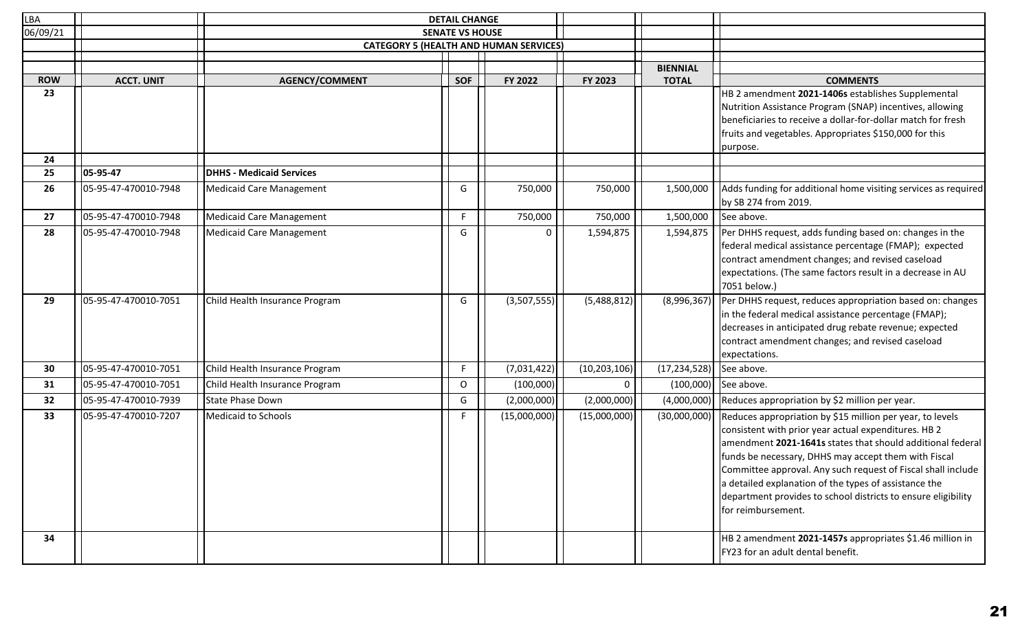| <b>LBA</b> |                      |                                 | <b>DETAIL CHANGE</b>   |                                               |                |                 |                                                                                                                                                                                                                                                                                                                                                                                                                                                         |
|------------|----------------------|---------------------------------|------------------------|-----------------------------------------------|----------------|-----------------|---------------------------------------------------------------------------------------------------------------------------------------------------------------------------------------------------------------------------------------------------------------------------------------------------------------------------------------------------------------------------------------------------------------------------------------------------------|
| 06/09/21   |                      |                                 | <b>SENATE VS HOUSE</b> |                                               |                |                 |                                                                                                                                                                                                                                                                                                                                                                                                                                                         |
|            |                      |                                 |                        | <b>CATEGORY 5 (HEALTH AND HUMAN SERVICES)</b> |                |                 |                                                                                                                                                                                                                                                                                                                                                                                                                                                         |
|            |                      |                                 |                        |                                               |                | <b>BIENNIAL</b> |                                                                                                                                                                                                                                                                                                                                                                                                                                                         |
| <b>ROW</b> | <b>ACCT. UNIT</b>    | <b>AGENCY/COMMENT</b>           | <b>SOF</b>             | FY 2022                                       | FY 2023        | <b>TOTAL</b>    | <b>COMMENTS</b>                                                                                                                                                                                                                                                                                                                                                                                                                                         |
| 23         |                      |                                 |                        |                                               |                |                 | HB 2 amendment 2021-1406s establishes Supplemental<br>Nutrition Assistance Program (SNAP) incentives, allowing<br>beneficiaries to receive a dollar-for-dollar match for fresh<br>fruits and vegetables. Appropriates \$150,000 for this<br>purpose.                                                                                                                                                                                                    |
| 24<br>25   | 05-95-47             | <b>DHHS - Medicaid Services</b> |                        |                                               |                |                 |                                                                                                                                                                                                                                                                                                                                                                                                                                                         |
| 26         | 05-95-47-470010-7948 | Medicaid Care Management        | G                      | 750,000                                       | 750,000        | 1,500,000       | Adds funding for additional home visiting services as required<br>by SB 274 from 2019.                                                                                                                                                                                                                                                                                                                                                                  |
| 27         | 05-95-47-470010-7948 | Medicaid Care Management        | F.                     | 750,000                                       | 750,000        | 1,500,000       | See above.                                                                                                                                                                                                                                                                                                                                                                                                                                              |
| 28         | 05-95-47-470010-7948 | Medicaid Care Management        | G                      | 0                                             | 1,594,875      | 1,594,875       | Per DHHS request, adds funding based on: changes in the<br>federal medical assistance percentage (FMAP); expected<br>contract amendment changes; and revised caseload<br>expectations. (The same factors result in a decrease in AU<br>7051 below.)                                                                                                                                                                                                     |
| 29         | 05-95-47-470010-7051 | Child Health Insurance Program  | G                      | (3,507,555)                                   | (5,488,812)    | (8,996,367)     | Per DHHS request, reduces appropriation based on: changes<br>in the federal medical assistance percentage (FMAP);<br>decreases in anticipated drug rebate revenue; expected<br>contract amendment changes; and revised caseload<br>expectations.                                                                                                                                                                                                        |
| 30         | 05-95-47-470010-7051 | Child Health Insurance Program  | F.                     | (7,031,422)                                   | (10, 203, 106) | (17, 234, 528)  | See above.                                                                                                                                                                                                                                                                                                                                                                                                                                              |
| 31         | 05-95-47-470010-7051 | Child Health Insurance Program  | $\circ$                | (100,000)                                     | $\Omega$       | (100,000)       | See above.                                                                                                                                                                                                                                                                                                                                                                                                                                              |
| 32         | 05-95-47-470010-7939 | State Phase Down                | G                      | (2,000,000)                                   | (2,000,000)    | (4,000,000)     | Reduces appropriation by \$2 million per year.                                                                                                                                                                                                                                                                                                                                                                                                          |
| 33         | 05-95-47-470010-7207 | Medicaid to Schools             | F.                     | (15,000,000)                                  | (15,000,000)   | (30,000,000)    | Reduces appropriation by \$15 million per year, to levels<br>consistent with prior year actual expenditures. HB 2<br>amendment 2021-1641s states that should additional federal<br>funds be necessary, DHHS may accept them with Fiscal<br>Committee approval. Any such request of Fiscal shall include<br>a detailed explanation of the types of assistance the<br>department provides to school districts to ensure eligibility<br>for reimbursement. |
| 34         |                      |                                 |                        |                                               |                |                 | HB 2 amendment 2021-1457s appropriates \$1.46 million in<br>FY23 for an adult dental benefit.                                                                                                                                                                                                                                                                                                                                                           |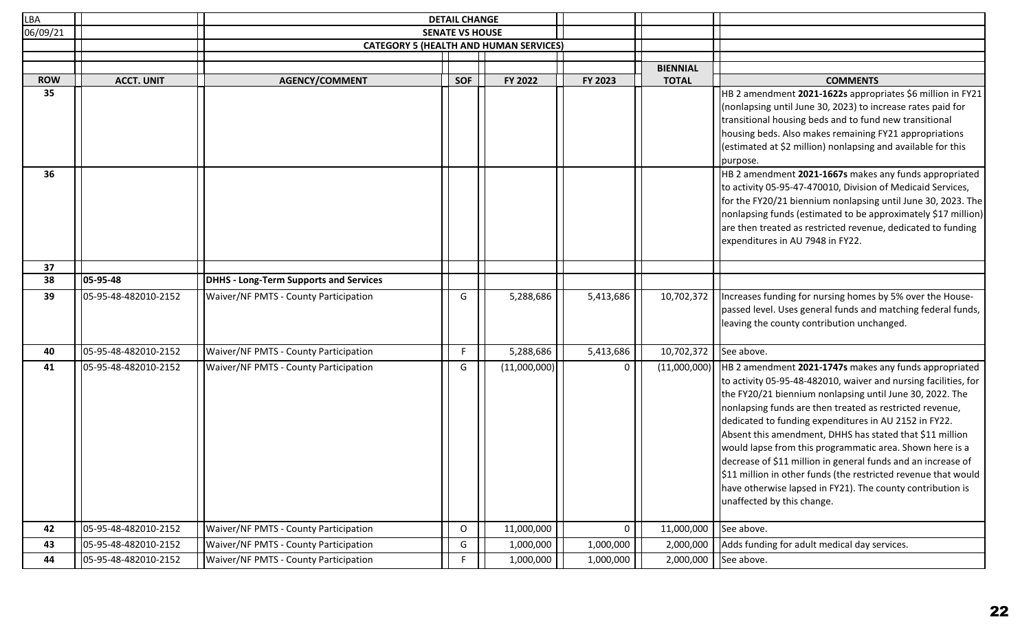| <b>LBA</b> |                      |                                               | <b>DETAIL CHANGE</b>   |                                               |           |                                 |                                                                                                                                                                                                                                                                                                                                                                                                                                                                                                                                                                                                                                                                                              |
|------------|----------------------|-----------------------------------------------|------------------------|-----------------------------------------------|-----------|---------------------------------|----------------------------------------------------------------------------------------------------------------------------------------------------------------------------------------------------------------------------------------------------------------------------------------------------------------------------------------------------------------------------------------------------------------------------------------------------------------------------------------------------------------------------------------------------------------------------------------------------------------------------------------------------------------------------------------------|
| 06/09/21   |                      |                                               | <b>SENATE VS HOUSE</b> |                                               |           |                                 |                                                                                                                                                                                                                                                                                                                                                                                                                                                                                                                                                                                                                                                                                              |
|            |                      |                                               |                        | <b>CATEGORY 5 (HEALTH AND HUMAN SERVICES)</b> |           |                                 |                                                                                                                                                                                                                                                                                                                                                                                                                                                                                                                                                                                                                                                                                              |
|            |                      |                                               |                        |                                               |           |                                 |                                                                                                                                                                                                                                                                                                                                                                                                                                                                                                                                                                                                                                                                                              |
| <b>ROW</b> | <b>ACCT. UNIT</b>    | <b>AGENCY/COMMENT</b>                         | <b>SOF</b>             | FY 2022                                       | FY 2023   | <b>BIENNIAL</b><br><b>TOTAL</b> | <b>COMMENTS</b>                                                                                                                                                                                                                                                                                                                                                                                                                                                                                                                                                                                                                                                                              |
| 35         |                      |                                               |                        |                                               |           |                                 | HB 2 amendment 2021-1622s appropriates \$6 million in FY21                                                                                                                                                                                                                                                                                                                                                                                                                                                                                                                                                                                                                                   |
|            |                      |                                               |                        |                                               |           |                                 | (nonlapsing until June 30, 2023) to increase rates paid for<br>transitional housing beds and to fund new transitional<br>housing beds. Also makes remaining FY21 appropriations<br>(estimated at \$2 million) nonlapsing and available for this<br>purpose.                                                                                                                                                                                                                                                                                                                                                                                                                                  |
| 36         |                      |                                               |                        |                                               |           |                                 | HB 2 amendment 2021-1667s makes any funds appropriated                                                                                                                                                                                                                                                                                                                                                                                                                                                                                                                                                                                                                                       |
|            |                      |                                               |                        |                                               |           |                                 | to activity 05-95-47-470010, Division of Medicaid Services,<br>for the FY20/21 biennium nonlapsing until June 30, 2023. The<br>nonlapsing funds (estimated to be approximately \$17 million)<br>are then treated as restricted revenue, dedicated to funding<br>expenditures in AU 7948 in FY22.                                                                                                                                                                                                                                                                                                                                                                                             |
| 37         |                      |                                               |                        |                                               |           |                                 |                                                                                                                                                                                                                                                                                                                                                                                                                                                                                                                                                                                                                                                                                              |
| 38         | 05-95-48             | <b>DHHS - Long-Term Supports and Services</b> |                        |                                               |           |                                 |                                                                                                                                                                                                                                                                                                                                                                                                                                                                                                                                                                                                                                                                                              |
| 39         | 05-95-48-482010-2152 | <b>Waiver/NF PMTS - County Participation</b>  | G                      | 5,288,686                                     | 5,413,686 | 10,702,372                      | Increases funding for nursing homes by 5% over the House-<br>passed level. Uses general funds and matching federal funds,<br>leaving the county contribution unchanged.                                                                                                                                                                                                                                                                                                                                                                                                                                                                                                                      |
| 40         | 05-95-48-482010-2152 | <b>Waiver/NF PMTS - County Participation</b>  | F.                     | 5,288,686                                     | 5,413,686 | 10,702,372                      | See above.                                                                                                                                                                                                                                                                                                                                                                                                                                                                                                                                                                                                                                                                                   |
| 41         | 05-95-48-482010-2152 | <b>Waiver/NF PMTS - County Participation</b>  | G                      | (11,000,000)                                  | 0         | (11,000,000)                    | HB 2 amendment 2021-1747s makes any funds appropriated<br>to activity 05-95-48-482010, waiver and nursing facilities, for<br>the FY20/21 biennium nonlapsing until June 30, 2022. The<br>nonlapsing funds are then treated as restricted revenue,<br>dedicated to funding expenditures in AU 2152 in FY22.<br>Absent this amendment, DHHS has stated that \$11 million<br>would lapse from this programmatic area. Shown here is a<br>decrease of \$11 million in general funds and an increase of<br>$\left  \text{11} \right\rangle$ million in other funds (the restricted revenue that would<br>have otherwise lapsed in FY21). The county contribution is<br>unaffected by this change. |
| 42         | 05-95-48-482010-2152 | <b>Waiver/NF PMTS - County Participation</b>  | O                      | 11,000,000                                    | 0         | 11,000,000                      | See above.                                                                                                                                                                                                                                                                                                                                                                                                                                                                                                                                                                                                                                                                                   |
| 43         | 05-95-48-482010-2152 | <b>Waiver/NF PMTS - County Participation</b>  | G                      | 1,000,000                                     | 1,000,000 | 2,000,000                       | Adds funding for adult medical day services.                                                                                                                                                                                                                                                                                                                                                                                                                                                                                                                                                                                                                                                 |
| 44         | 05-95-48-482010-2152 | <b>Waiver/NF PMTS - County Participation</b>  | F.                     | 1,000,000                                     | 1,000,000 | 2,000,000                       | See above.                                                                                                                                                                                                                                                                                                                                                                                                                                                                                                                                                                                                                                                                                   |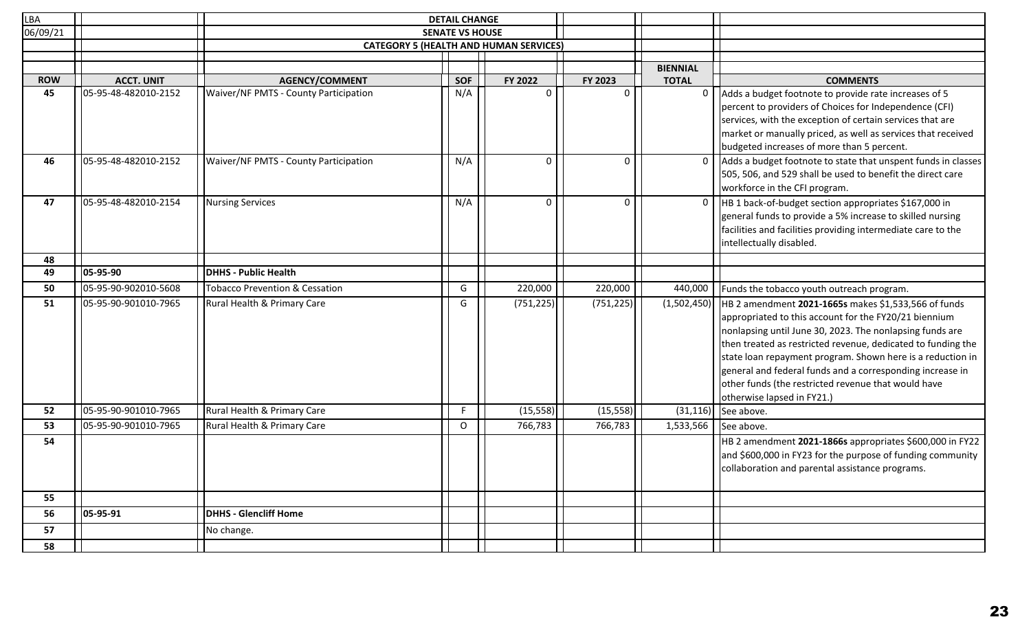| <b>LBA</b> |                                           |                                                                | <b>DETAIL CHANGE</b>   |                                               |                     |                   |                                                                                                                                                                                                                                                                                                                                                                                                                                                           |
|------------|-------------------------------------------|----------------------------------------------------------------|------------------------|-----------------------------------------------|---------------------|-------------------|-----------------------------------------------------------------------------------------------------------------------------------------------------------------------------------------------------------------------------------------------------------------------------------------------------------------------------------------------------------------------------------------------------------------------------------------------------------|
| 06/09/21   |                                           |                                                                | <b>SENATE VS HOUSE</b> |                                               |                     |                   |                                                                                                                                                                                                                                                                                                                                                                                                                                                           |
|            |                                           |                                                                |                        | <b>CATEGORY 5 (HEALTH AND HUMAN SERVICES)</b> |                     |                   |                                                                                                                                                                                                                                                                                                                                                                                                                                                           |
|            |                                           |                                                                |                        |                                               |                     |                   |                                                                                                                                                                                                                                                                                                                                                                                                                                                           |
| <b>ROW</b> |                                           |                                                                |                        |                                               |                     | <b>BIENNIAL</b>   |                                                                                                                                                                                                                                                                                                                                                                                                                                                           |
| 45         | <b>ACCT. UNIT</b><br>05-95-48-482010-2152 | <b>AGENCY/COMMENT</b><br>Waiver/NF PMTS - County Participation | <b>SOF</b><br>N/A      | FY 2022<br>$\Omega$                           | FY 2023<br>$\Omega$ | <b>TOTAL</b><br>0 | <b>COMMENTS</b>                                                                                                                                                                                                                                                                                                                                                                                                                                           |
|            |                                           |                                                                |                        |                                               |                     |                   | Adds a budget footnote to provide rate increases of 5<br>percent to providers of Choices for Independence (CFI)<br>services, with the exception of certain services that are<br>market or manually priced, as well as services that received<br>budgeted increases of more than 5 percent.                                                                                                                                                                |
| 46         | 05-95-48-482010-2152                      | <b>Waiver/NF PMTS - County Participation</b>                   | N/A                    | $\Omega$                                      | $\mathbf 0$         | 0                 | Adds a budget footnote to state that unspent funds in classes<br>505, 506, and 529 shall be used to benefit the direct care<br>workforce in the CFI program.                                                                                                                                                                                                                                                                                              |
| 47         | 05-95-48-482010-2154                      | Nursing Services                                               | N/A                    | 0                                             | $\mathbf{0}$        | $\mathbf{0}$      | HB 1 back-of-budget section appropriates \$167,000 in<br>general funds to provide a 5% increase to skilled nursing<br>facilities and facilities providing intermediate care to the<br>intellectually disabled.                                                                                                                                                                                                                                            |
| 48         |                                           |                                                                |                        |                                               |                     |                   |                                                                                                                                                                                                                                                                                                                                                                                                                                                           |
| 49         | 05-95-90                                  | <b>DHHS - Public Health</b>                                    |                        |                                               |                     |                   |                                                                                                                                                                                                                                                                                                                                                                                                                                                           |
| 50         | 05-95-90-902010-5608                      | Tobacco Prevention & Cessation                                 | G                      | 220,000                                       | 220,000             | 440,000           | Funds the tobacco youth outreach program.                                                                                                                                                                                                                                                                                                                                                                                                                 |
| 51         | 05-95-90-901010-7965                      | Rural Health & Primary Care                                    | G                      | (751, 225)                                    | (751, 225)          | (1,502,450)       | HB 2 amendment 2021-1665s makes \$1,533,566 of funds<br>appropriated to this account for the FY20/21 biennium<br>nonlapsing until June 30, 2023. The nonlapsing funds are<br>then treated as restricted revenue, dedicated to funding the<br>state loan repayment program. Shown here is a reduction in<br>general and federal funds and a corresponding increase in<br>other funds (the restricted revenue that would have<br>otherwise lapsed in FY21.) |
| 52         | 05-95-90-901010-7965                      | Rural Health & Primary Care                                    | F.                     | (15, 558)                                     | (15, 558)           | (31, 116)         | See above.                                                                                                                                                                                                                                                                                                                                                                                                                                                |
| 53         | 05-95-90-901010-7965                      | Rural Health & Primary Care                                    | $\circ$                | 766,783                                       | 766,783             | 1,533,566         | See above.                                                                                                                                                                                                                                                                                                                                                                                                                                                |
| 54         |                                           |                                                                |                        |                                               |                     |                   | HB 2 amendment 2021-1866s appropriates \$600,000 in FY22<br>and \$600,000 in FY23 for the purpose of funding community<br>collaboration and parental assistance programs.                                                                                                                                                                                                                                                                                 |
| 55         |                                           |                                                                |                        |                                               |                     |                   |                                                                                                                                                                                                                                                                                                                                                                                                                                                           |
| 56         | 05-95-91                                  | <b>DHHS - Glencliff Home</b>                                   |                        |                                               |                     |                   |                                                                                                                                                                                                                                                                                                                                                                                                                                                           |
| 57         |                                           | No change.                                                     |                        |                                               |                     |                   |                                                                                                                                                                                                                                                                                                                                                                                                                                                           |
| 58         |                                           |                                                                |                        |                                               |                     |                   |                                                                                                                                                                                                                                                                                                                                                                                                                                                           |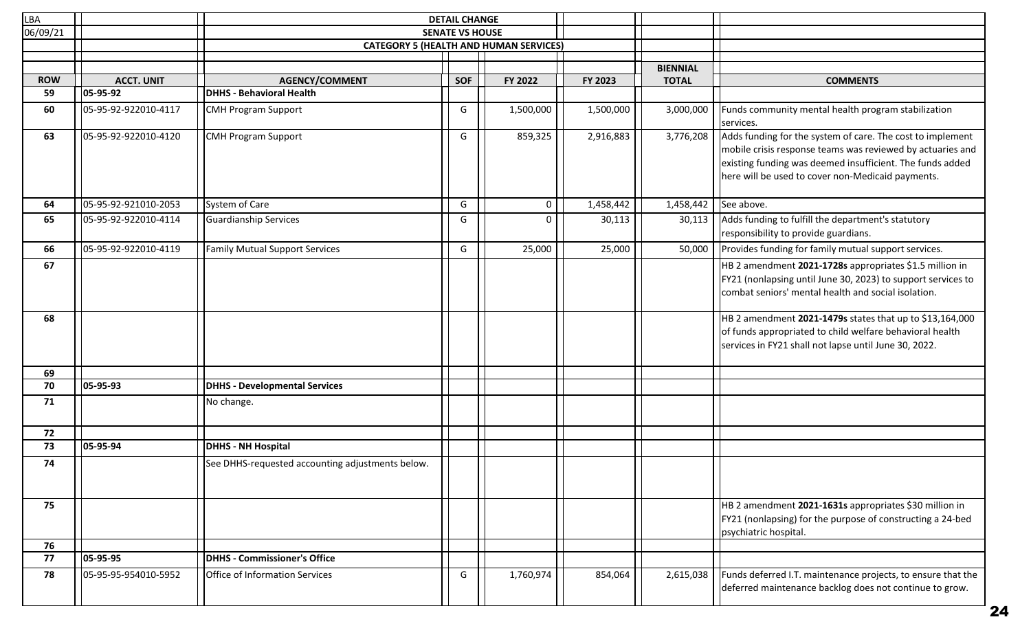| LBA        |                      | <b>DETAIL CHANGE</b>                             |                        |             |           |                 |                                                                                                                                                                                                                                            |
|------------|----------------------|--------------------------------------------------|------------------------|-------------|-----------|-----------------|--------------------------------------------------------------------------------------------------------------------------------------------------------------------------------------------------------------------------------------------|
| 06/09/21   |                      |                                                  | <b>SENATE VS HOUSE</b> |             |           |                 |                                                                                                                                                                                                                                            |
|            |                      | <b>CATEGORY 5 (HEALTH AND HUMAN SERVICES)</b>    |                        |             |           |                 |                                                                                                                                                                                                                                            |
|            |                      |                                                  |                        |             |           | <b>BIENNIAL</b> |                                                                                                                                                                                                                                            |
| <b>ROW</b> | <b>ACCT. UNIT</b>    | <b>AGENCY/COMMENT</b>                            | <b>SOF</b>             | FY 2022     | FY 2023   | <b>TOTAL</b>    | <b>COMMENTS</b>                                                                                                                                                                                                                            |
| 59         | 05-95-92             | <b>DHHS - Behavioral Health</b>                  |                        |             |           |                 |                                                                                                                                                                                                                                            |
| 60         | 05-95-92-922010-4117 | <b>CMH Program Support</b>                       | G                      | 1,500,000   | 1,500,000 | 3,000,000       | Funds community mental health program stabilization                                                                                                                                                                                        |
|            |                      |                                                  |                        |             |           |                 | services.                                                                                                                                                                                                                                  |
| 63         | 05-95-92-922010-4120 | CMH Program Support                              | G                      | 859,325     | 2,916,883 | 3,776,208       | Adds funding for the system of care. The cost to implement<br>mobile crisis response teams was reviewed by actuaries and<br>existing funding was deemed insufficient. The funds added<br>here will be used to cover non-Medicaid payments. |
| 64         | 05-95-92-921010-2053 | System of Care                                   | G                      | $\mathbf 0$ | 1,458,442 | 1,458,442       | See above.                                                                                                                                                                                                                                 |
| 65         | 05-95-92-922010-4114 | Guardianship Services                            | G                      | $\Omega$    | 30,113    | 30,113          | Adds funding to fulfill the department's statutory<br>responsibility to provide guardians.                                                                                                                                                 |
| 66         | 05-95-92-922010-4119 | <b>Family Mutual Support Services</b>            | G                      | 25,000      | 25,000    | 50,000          | Provides funding for family mutual support services.                                                                                                                                                                                       |
| 67         |                      |                                                  |                        |             |           |                 | HB 2 amendment 2021-1728s appropriates \$1.5 million in<br>FY21 (nonlapsing until June 30, 2023) to support services to<br>combat seniors' mental health and social isolation.                                                             |
| 68         |                      |                                                  |                        |             |           |                 | HB 2 amendment 2021-1479s states that up to \$13,164,000<br>of funds appropriated to child welfare behavioral health<br>services in FY21 shall not lapse until June 30, 2022.                                                              |
| 69         |                      |                                                  |                        |             |           |                 |                                                                                                                                                                                                                                            |
| 70         | 05-95-93             | <b>DHHS - Developmental Services</b>             |                        |             |           |                 |                                                                                                                                                                                                                                            |
| 71         |                      | No change.                                       |                        |             |           |                 |                                                                                                                                                                                                                                            |
| 72         |                      |                                                  |                        |             |           |                 |                                                                                                                                                                                                                                            |
| 73         | 05-95-94             | <b>DHHS - NH Hospital</b>                        |                        |             |           |                 |                                                                                                                                                                                                                                            |
| 74         |                      | See DHHS-requested accounting adjustments below. |                        |             |           |                 |                                                                                                                                                                                                                                            |
| 75         |                      |                                                  |                        |             |           |                 | HB 2 amendment 2021-1631s appropriates \$30 million in<br>FY21 (nonlapsing) for the purpose of constructing a 24-bed<br>psychiatric hospital.                                                                                              |
| 76         |                      |                                                  |                        |             |           |                 |                                                                                                                                                                                                                                            |
| 77         | 05-95-95             | <b>DHHS - Commissioner's Office</b>              |                        |             |           |                 |                                                                                                                                                                                                                                            |
| 78         | 05-95-95-954010-5952 | Office of Information Services                   | G                      | 1,760,974   | 854,064   | 2,615,038       | Funds deferred I.T. maintenance projects, to ensure that the<br>deferred maintenance backlog does not continue to grow.                                                                                                                    |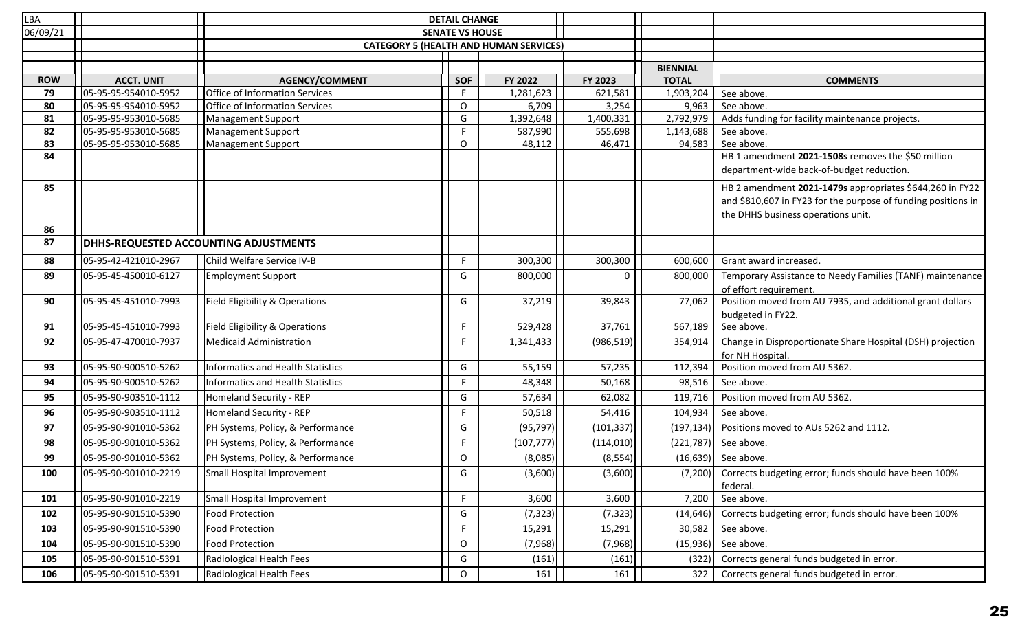| <b>LBA</b> |                      | <b>DETAIL CHANGE</b>                      |                                               |            |              |                 |                                                                                                          |
|------------|----------------------|-------------------------------------------|-----------------------------------------------|------------|--------------|-----------------|----------------------------------------------------------------------------------------------------------|
| 06/09/21   |                      | <b>SENATE VS HOUSE</b>                    |                                               |            |              |                 |                                                                                                          |
|            |                      |                                           | <b>CATEGORY 5 (HEALTH AND HUMAN SERVICES)</b> |            |              |                 |                                                                                                          |
|            |                      |                                           |                                               |            |              | <b>BIENNIAL</b> |                                                                                                          |
| <b>ROW</b> | <b>ACCT. UNIT</b>    | <b>AGENCY/COMMENT</b>                     | <b>SOF</b>                                    | FY 2022    | FY 2023      | <b>TOTAL</b>    | <b>COMMENTS</b>                                                                                          |
| 79         | 05-95-95-954010-5952 | Office of Information Services            | F.                                            | 1,281,623  | 621,581      | 1,903,204       | See above.                                                                                               |
| 80         | 05-95-95-954010-5952 | Office of Information Services            | $\mathsf O$                                   | 6,709      | 3,254        | 9,963           | See above.                                                                                               |
| 81         | 05-95-95-953010-5685 | Management Support                        | G                                             | 1,392,648  | 1,400,331    | 2,792,979       | Adds funding for facility maintenance projects.                                                          |
| 82         | 05-95-95-953010-5685 | Management Support                        | E                                             | 587,990    | 555,698      | 1,143,688       | See above.                                                                                               |
| 83         | 05-95-95-953010-5685 | Management Support                        | O                                             | 48,112     | 46,471       | 94,583          | See above.                                                                                               |
| 84         |                      |                                           |                                               |            |              |                 | HB 1 amendment 2021-1508s removes the \$50 million                                                       |
|            |                      |                                           |                                               |            |              |                 | department-wide back-of-budget reduction.                                                                |
| 85         |                      |                                           |                                               |            |              |                 | HB 2 amendment 2021-1479s appropriates \$644,260 in FY22                                                 |
|            |                      |                                           |                                               |            |              |                 | and \$810,607 in FY23 for the purpose of funding positions in                                            |
|            |                      |                                           |                                               |            |              |                 | the DHHS business operations unit.                                                                       |
| 86         |                      |                                           |                                               |            |              |                 |                                                                                                          |
| 87         |                      | DHHS-REQUESTED ACCOUNTING ADJUSTMENTS     |                                               |            |              |                 |                                                                                                          |
| 88         | 05-95-42-421010-2967 | Child Welfare Service IV-B                | F                                             | 300,300    | 300,300      | 600,600         | Grant award increased.                                                                                   |
| 89         | 05-95-45-450010-6127 | <b>Employment Support</b>                 | G                                             | 800,000    | <sup>0</sup> | 800,000         | Temporary Assistance to Needy Families (TANF) maintenance                                                |
| 90         | 05-95-45-451010-7993 | Field Eligibility & Operations            | G                                             | 37,219     | 39,843       | 77,062          | of effort requirement.<br>Position moved from AU 7935, and additional grant dollars<br>budgeted in FY22. |
| 91         | 05-95-45-451010-7993 | <b>Field Eligibility &amp; Operations</b> | F.                                            | 529,428    | 37,761       | 567,189         | See above.                                                                                               |
| 92         | 05-95-47-470010-7937 | <b>Medicaid Administration</b>            | F.                                            | 1,341,433  | (986, 519)   | 354,914         | Change in Disproportionate Share Hospital (DSH) projection<br>for NH Hospital.                           |
| 93         | 05-95-90-900510-5262 | <b>Informatics and Health Statistics</b>  | G                                             | 55,159     | 57,235       | 112,394         | Position moved from AU 5362.                                                                             |
| 94         | 05-95-90-900510-5262 | <b>Informatics and Health Statistics</b>  | F.                                            | 48,348     | 50,168       | 98,516          | See above.                                                                                               |
| 95         | 05-95-90-903510-1112 | Homeland Security - REP                   | G                                             | 57,634     | 62,082       | 119,716         | Position moved from AU 5362.                                                                             |
| 96         | 05-95-90-903510-1112 | <b>Homeland Security - REP</b>            | F                                             | 50,518     | 54,416       | 104,934         | See above.                                                                                               |
| 97         | 05-95-90-901010-5362 | PH Systems, Policy, & Performance         | G                                             | (95, 797)  | (101, 337)   | (197, 134)      | Positions moved to AUs 5262 and 1112.                                                                    |
| 98         | 05-95-90-901010-5362 | PH Systems, Policy, & Performance         | F.                                            | (107, 777) | (114, 010)   | (221, 787)      | See above.                                                                                               |
| 99         | 05-95-90-901010-5362 | PH Systems, Policy, & Performance         | O                                             | (8,085)    | (8, 554)     |                 | $(16,639)$ See above.                                                                                    |
| 100        | 05-95-90-901010-2219 | Small Hospital Improvement                | G                                             | (3,600)    | (3,600)      |                 | $(7,200)$ Corrects budgeting error; funds should have been 100%<br>federal.                              |
| 101        | 05-95-90-901010-2219 | Small Hospital Improvement                | $\mathsf F$                                   | 3,600      | 3,600        | 7,200           | See above.                                                                                               |
| 102        | 05-95-90-901510-5390 | <b>Food Protection</b>                    | G                                             | (7, 323)   | (7, 323)     | (14, 646)       | Corrects budgeting error; funds should have been 100%                                                    |
| 103        | 05-95-90-901510-5390 | <b>Food Protection</b>                    | F                                             | 15,291     | 15,291       | 30,582          | See above.                                                                                               |
| 104        | 05-95-90-901510-5390 | <b>Food Protection</b>                    | O                                             | (7,968)    | (7,968)      | (15, 936)       | See above.                                                                                               |
| 105        | 05-95-90-901510-5391 | Radiological Health Fees                  | G                                             | (161)      | (161)        | (322)           | Corrects general funds budgeted in error.                                                                |
| 106        | 05-95-90-901510-5391 | Radiological Health Fees                  | O                                             | 161        | 161          | 322             | Corrects general funds budgeted in error.                                                                |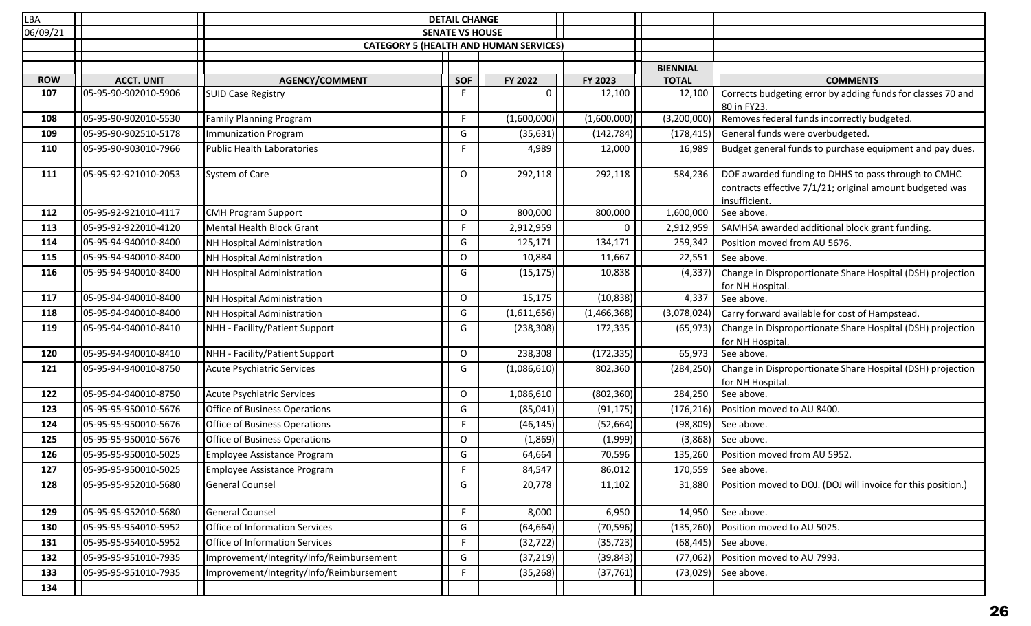| LBA        |                      |                                          | <b>DETAIL CHANGE</b>   |                                               |              |                 |                                                                                                                                  |
|------------|----------------------|------------------------------------------|------------------------|-----------------------------------------------|--------------|-----------------|----------------------------------------------------------------------------------------------------------------------------------|
| 06/09/21   |                      |                                          | <b>SENATE VS HOUSE</b> |                                               |              |                 |                                                                                                                                  |
|            |                      |                                          |                        | <b>CATEGORY 5 (HEALTH AND HUMAN SERVICES)</b> |              |                 |                                                                                                                                  |
|            |                      |                                          |                        |                                               |              | <b>BIENNIAL</b> |                                                                                                                                  |
| <b>ROW</b> | <b>ACCT. UNIT</b>    | <b>AGENCY/COMMENT</b>                    | <b>SOF</b>             | FY 2022                                       | FY 2023      | <b>TOTAL</b>    | <b>COMMENTS</b>                                                                                                                  |
| 107        | 05-95-90-902010-5906 | <b>SUID Case Registry</b>                | F                      | 0                                             | 12,100       | 12,100          | Corrects budgeting error by adding funds for classes 70 and<br>80 in FY23.                                                       |
| 108        | 05-95-90-902010-5530 | <b>Family Planning Program</b>           | F.                     | (1,600,000)                                   | (1,600,000)  | (3,200,000)     | Removes federal funds incorrectly budgeted.                                                                                      |
| 109        | 05-95-90-902510-5178 | Immunization Program                     | G                      | (35, 631)                                     | (142, 784)   | (178, 415)      | General funds were overbudgeted.                                                                                                 |
| 110        | 05-95-90-903010-7966 | Public Health Laboratories               | F.                     | 4,989                                         | 12,000       | 16,989          | Budget general funds to purchase equipment and pay dues.                                                                         |
| 111        | 05-95-92-921010-2053 | System of Care                           | 0                      | 292,118                                       | 292,118      | 584,236         | DOE awarded funding to DHHS to pass through to CMHC<br>contracts effective 7/1/21; original amount budgeted was<br>insufficient. |
| 112        | 05-95-92-921010-4117 | <b>CMH Program Support</b>               | $\mathsf O$            | 800,000                                       | 800,000      | 1,600,000       | See above.                                                                                                                       |
| 113        | 05-95-92-922010-4120 | Mental Health Block Grant                | F.                     | 2,912,959                                     | $\mathbf{0}$ | 2,912,959       | SAMHSA awarded additional block grant funding.                                                                                   |
| 114        | 05-95-94-940010-8400 | NH Hospital Administration               | G                      | 125,171                                       | 134,171      | 259,342         | Position moved from AU 5676.                                                                                                     |
| 115        | 05-95-94-940010-8400 | NH Hospital Administration               | $\mathsf O$            | 10,884                                        | 11,667       | 22,551          | See above.                                                                                                                       |
| 116        | 05-95-94-940010-8400 | NH Hospital Administration               | G                      | (15, 175)                                     | 10,838       | (4, 337)        | Change in Disproportionate Share Hospital (DSH) projection<br>for NH Hospital.                                                   |
| 117        | 05-95-94-940010-8400 | NH Hospital Administration               | $\mathsf O$            | 15,175                                        | (10, 838)    | 4,337           | See above.                                                                                                                       |
| 118        | 05-95-94-940010-8400 | NH Hospital Administration               | G                      | (1,611,656)                                   | (1,466,368)  | (3,078,024)     | Carry forward available for cost of Hampstead.                                                                                   |
| 119        | 05-95-94-940010-8410 | NHH - Facility/Patient Support           | G                      | (238, 308)                                    | 172,335      | (65, 973)       | Change in Disproportionate Share Hospital (DSH) projection<br>for NH Hospital.                                                   |
| 120        | 05-95-94-940010-8410 | NHH - Facility/Patient Support           | O                      | 238,308                                       | (172, 335)   | 65,973          | See above.                                                                                                                       |
| 121        | 05-95-94-940010-8750 | Acute Psychiatric Services               | G                      | (1,086,610)                                   | 802,360      | (284, 250)      | Change in Disproportionate Share Hospital (DSH) projection<br>for NH Hospital.                                                   |
| 122        | 05-95-94-940010-8750 | Acute Psychiatric Services               | O                      | 1,086,610                                     | (802, 360)   | 284,250         | See above.                                                                                                                       |
| 123        | 05-95-95-950010-5676 | Office of Business Operations            | G                      | (85,041)                                      | (91, 175)    | (176, 216)      | Position moved to AU 8400.                                                                                                       |
| 124        | 05-95-95-950010-5676 | Office of Business Operations            | F.                     | (46, 145)                                     | (52, 664)    | (98, 809)       | See above.                                                                                                                       |
| 125        | 05-95-95-950010-5676 | Office of Business Operations            | O                      | (1,869)                                       | (1,999)      | (3,868)         | See above.                                                                                                                       |
| 126        | 05-95-95-950010-5025 | Employee Assistance Program              | G                      | 64,664                                        | 70,596       | 135,260         | Position moved from AU 5952.                                                                                                     |
| 127        | 05-95-95-950010-5025 | Employee Assistance Program              | E.                     | 84,547                                        | 86,012       |                 | $170,559$ See above.                                                                                                             |
| 128        | 05-95-95-952010-5680 | General Counsel                          | G                      | 20,778                                        | 11,102       | 31,880          | Position moved to DOJ. (DOJ will invoice for this position.)                                                                     |
| 129        | 05-95-95-952010-5680 | General Counsel                          | F.                     | 8,000                                         | 6,950        | 14,950          | See above.                                                                                                                       |
| 130        | 05-95-95-954010-5952 | Office of Information Services           | G                      | (64, 664)                                     | (70, 596)    | (135, 260)      | Position moved to AU 5025.                                                                                                       |
| 131        | 05-95-95-954010-5952 | Office of Information Services           | F.                     | (32, 722)                                     | (35, 723)    | (68, 445)       | See above.                                                                                                                       |
| 132        | 05-95-95-951010-7935 | Improvement/Integrity/Info/Reimbursement | G                      | (37, 219)                                     | (39, 843)    | (77,062)        | Position moved to AU 7993.                                                                                                       |
| 133        | 05-95-95-951010-7935 | Improvement/Integrity/Info/Reimbursement | F.                     | (35, 268)                                     | (37, 761)    | (73,029)        | See above.                                                                                                                       |
| 134        |                      |                                          |                        |                                               |              |                 |                                                                                                                                  |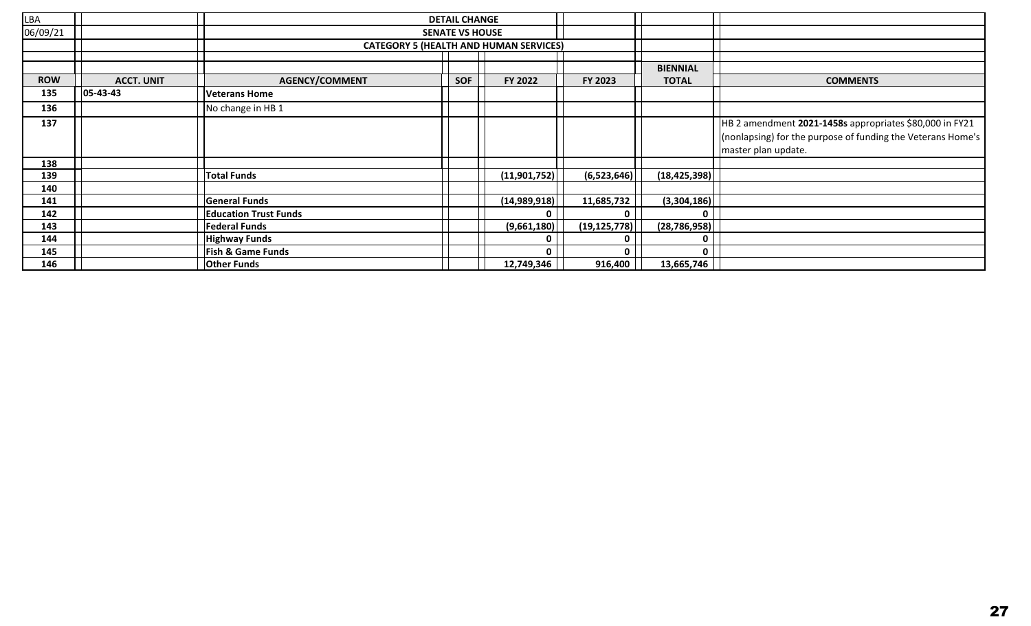| LBA        |                   | <b>DETAIL CHANGE</b>         |            |                                               |                |                 |                                                             |
|------------|-------------------|------------------------------|------------|-----------------------------------------------|----------------|-----------------|-------------------------------------------------------------|
| 06/09/21   |                   | <b>SENATE VS HOUSE</b>       |            |                                               |                |                 |                                                             |
|            |                   |                              |            | <b>CATEGORY 5 (HEALTH AND HUMAN SERVICES)</b> |                |                 |                                                             |
|            |                   |                              |            |                                               |                |                 |                                                             |
|            |                   |                              |            |                                               |                | <b>BIENNIAL</b> |                                                             |
| <b>ROW</b> | <b>ACCT. UNIT</b> | <b>AGENCY/COMMENT</b>        | <b>SOF</b> | FY 2022                                       | FY 2023        | <b>TOTAL</b>    | <b>COMMENTS</b>                                             |
| 135        | $ 05 - 43 - 43 $  | <b>Veterans Home</b>         |            |                                               |                |                 |                                                             |
| 136        |                   | No change in HB 1            |            |                                               |                |                 |                                                             |
| 137        |                   |                              |            |                                               |                |                 | HB 2 amendment 2021-1458s appropriates \$80,000 in FY21     |
|            |                   |                              |            |                                               |                |                 | (nonlapsing) for the purpose of funding the Veterans Home's |
|            |                   |                              |            |                                               |                |                 | master plan update.                                         |
| 138        |                   |                              |            |                                               |                |                 |                                                             |
| 139        |                   | <b>Total Funds</b>           |            | (11,901,752)                                  | (6,523,646)    | (18, 425, 398)  |                                                             |
| 140        |                   |                              |            |                                               |                |                 |                                                             |
| 141        |                   | <b>General Funds</b>         |            | (14,989,918)                                  | 11,685,732     | (3,304,186)     |                                                             |
| 142        |                   | <b>Education Trust Funds</b> |            | U                                             | $\mathbf{0}$   | 0               |                                                             |
| 143        |                   | <b>Federal Funds</b>         |            | (9,661,180)                                   | (19, 125, 778) | (28, 786, 958)  |                                                             |
| 144        |                   | <b>Highway Funds</b>         |            | 0                                             | $\mathbf 0$    | 0               |                                                             |
| 145        |                   | <b>Fish &amp; Game Funds</b> |            | <sup>0</sup>                                  | $\mathbf{0}$   | 0               |                                                             |
| 146        |                   | <b>Other Funds</b>           |            | 12,749,346                                    | 916,400        | 13,665,746      |                                                             |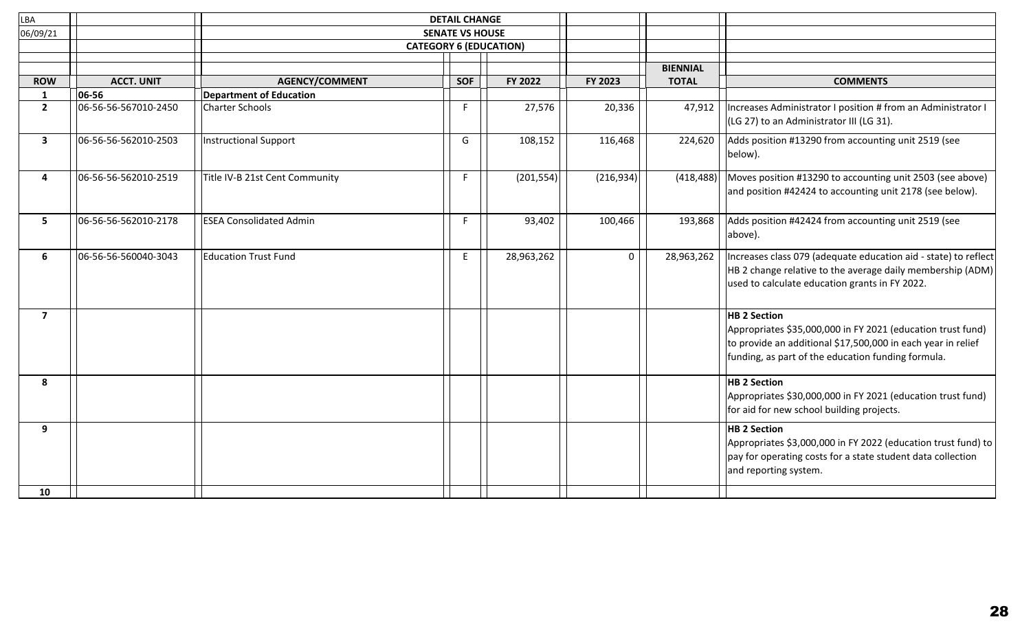| LBA            |                      | <b>DETAIL CHANGE</b>           |            |            |                 |              |                                                                                                                                                                                                          |
|----------------|----------------------|--------------------------------|------------|------------|-----------------|--------------|----------------------------------------------------------------------------------------------------------------------------------------------------------------------------------------------------------|
| 06/09/21       |                      | <b>SENATE VS HOUSE</b>         |            |            |                 |              |                                                                                                                                                                                                          |
|                |                      | <b>CATEGORY 6 (EDUCATION)</b>  |            |            |                 |              |                                                                                                                                                                                                          |
|                |                      |                                |            |            | <b>BIENNIAL</b> |              |                                                                                                                                                                                                          |
| <b>ROW</b>     | <b>ACCT. UNIT</b>    | <b>AGENCY/COMMENT</b>          | <b>SOF</b> | FY 2022    | FY 2023         | <b>TOTAL</b> | <b>COMMENTS</b>                                                                                                                                                                                          |
| $\mathbf{1}$   | 06-56                | <b>Department of Education</b> |            |            |                 |              |                                                                                                                                                                                                          |
| $2^{\circ}$    | 06-56-56-567010-2450 | <b>Charter Schools</b>         | F.         | 27,576     | 20,336          | 47,912       | Increases Administrator I position # from an Administrator I                                                                                                                                             |
|                |                      |                                |            |            |                 |              | (LG 27) to an Administrator III (LG 31).                                                                                                                                                                 |
| $\mathbf{3}$   | 06-56-56-562010-2503 | <b>Instructional Support</b>   | G          | 108,152    | 116,468         | 224,620      | Adds position #13290 from accounting unit 2519 (see<br>below).                                                                                                                                           |
| 4              | 06-56-56-562010-2519 | Title IV-B 21st Cent Community | F.         | (201, 554) | (216, 934)      | (418, 488)   | Moves position #13290 to accounting unit 2503 (see above)<br>and position #42424 to accounting unit 2178 (see below).                                                                                    |
| 5              | 06-56-56-562010-2178 | <b>ESEA Consolidated Admin</b> | F.         | 93,402     | 100,466         | 193,868      | Adds position #42424 from accounting unit 2519 (see<br>above).                                                                                                                                           |
| 6              | 06-56-56-560040-3043 | <b>Education Trust Fund</b>    | E          | 28,963,262 | $\Omega$        | 28,963,262   | Increases class 079 (adequate education aid - state) to reflect<br>HB 2 change relative to the average daily membership (ADM)<br>used to calculate education grants in FY 2022.                          |
| $\overline{7}$ |                      |                                |            |            |                 |              | <b>HB 2 Section</b><br>Appropriates \$35,000,000 in FY 2021 (education trust fund)<br>to provide an additional \$17,500,000 in each year in relief<br>funding, as part of the education funding formula. |
| 8              |                      |                                |            |            |                 |              | <b>HB 2 Section</b><br>Appropriates \$30,000,000 in FY 2021 (education trust fund)<br>for aid for new school building projects.                                                                          |
| 9<br>10        |                      |                                |            |            |                 |              | <b>HB 2 Section</b><br>Appropriates \$3,000,000 in FY 2022 (education trust fund) to<br>pay for operating costs for a state student data collection<br>and reporting system.                             |
|                |                      |                                |            |            |                 |              |                                                                                                                                                                                                          |